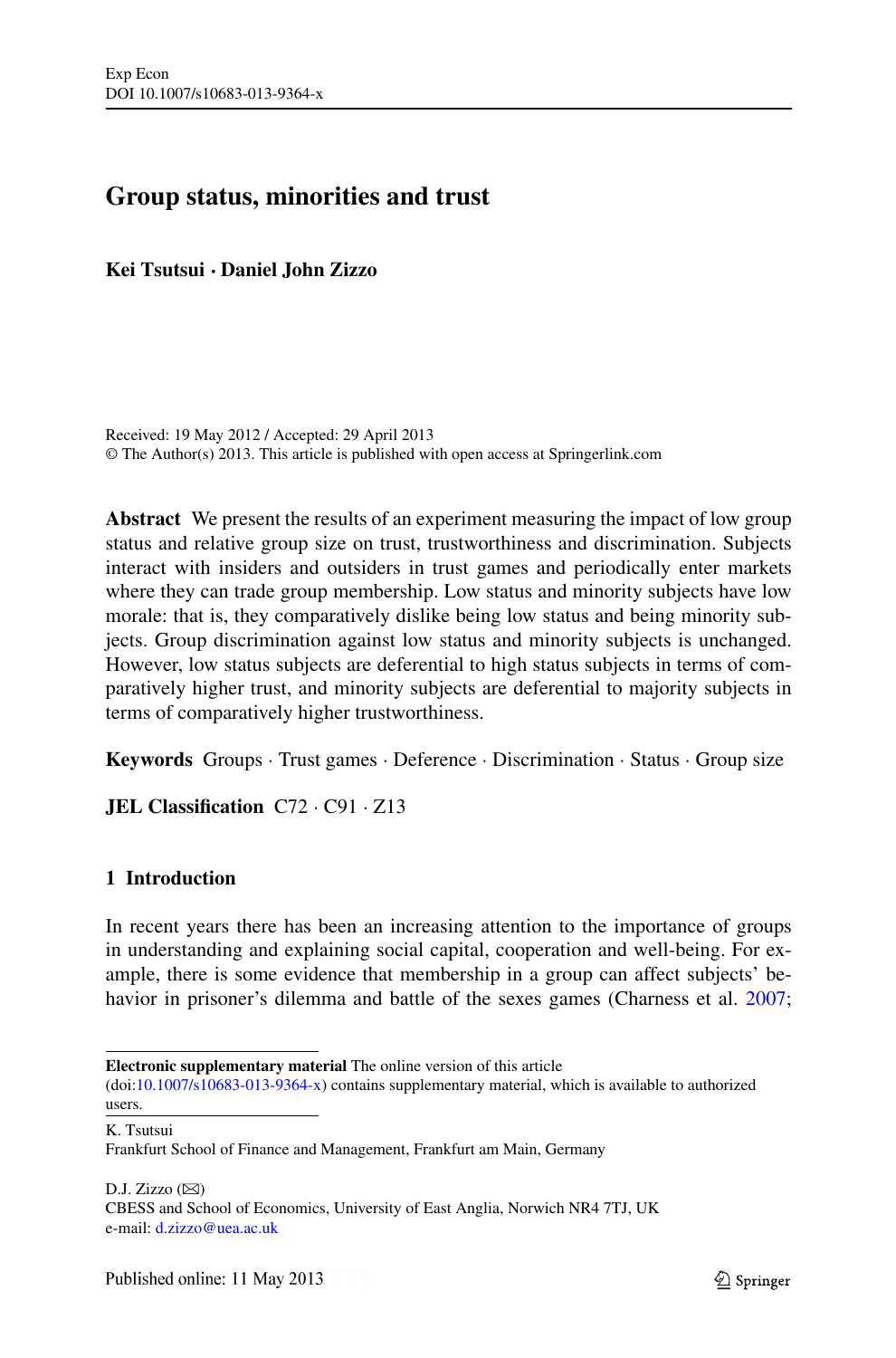# **Group status, minorities and trust**

**Kei Tsutsui · Daniel John Zizzo**

Received: 19 May 2012 / Accepted: 29 April 2013 © The Author(s) 2013. This article is published with open access at Springerlink.com

**Abstract** We present the results of an experiment measuring the impact of low group status and relative group size on trust, trustworthiness and discrimination. Subjects interact with insiders and outsiders in trust games and periodically enter markets where they can trade group membership. Low status and minority subjects have low morale: that is, they comparatively dislike being low status and being minority subjects. Group discrimination against low status and minority subjects is unchanged. However, low status subjects are deferential to high status subjects in terms of comparatively higher trust, and minority subjects are deferential to majority subjects in terms of comparatively higher trustworthiness.

**Keywords** Groups · Trust games · Deference · Discrimination · Status · Group size

**JEL Classification** C72 · C91 · Z13

# **1 Introduction**

In recent years there has been an increasing attention to the importance of groups in understanding and explaining social capital, cooperation and well-being. For example, there is some evidence that membership in a group can affect subjects' be-havior in prisoner's dilemma and battle of the sexes games (Charness et al. [2007;](#page-28-0)

K. Tsutsui

 $D.J. Zizzo (\boxtimes)$ CBESS and School of Economics, University of East Anglia, Norwich NR4 7TJ, UK e-mail: [d.zizzo@uea.ac.uk](mailto:d.zizzo@uea.ac.uk)

**Electronic supplementary material** The online version of this article

<sup>(</sup>doi:[10.1007/s10683-013-9364-x\)](http://dx.doi.org/10.1007/s10683-013-9364-x) contains supplementary material, which is available to authorized users.

Frankfurt School of Finance and Management, Frankfurt am Main, Germany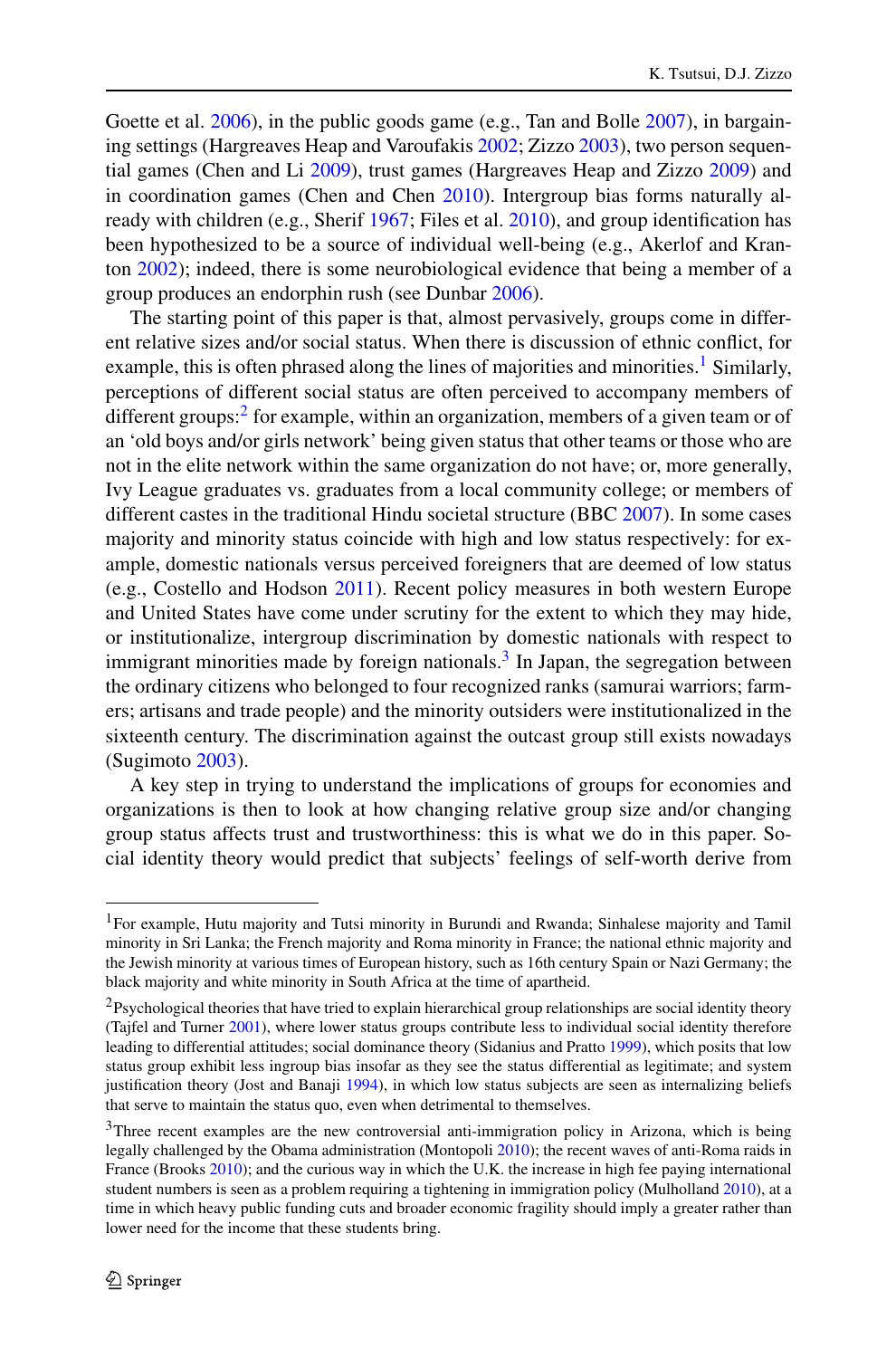Goette et al. [2006](#page-28-1)), in the public goods game (e.g., Tan and Bolle [2007\)](#page-29-0), in bargaining settings (Hargreaves Heap and Varoufakis [2002](#page-28-2); Zizzo [2003\)](#page-29-1), two person sequential games (Chen and Li [2009](#page-28-3)), trust games (Hargreaves Heap and Zizzo [2009\)](#page-28-4) and in coordination games (Chen and Chen [2010](#page-28-5)). Intergroup bias forms naturally already with children (e.g., Sherif [1967;](#page-29-2) Files et al. [2010\)](#page-28-6), and group identification has been hypothesized to be a source of individual well-being (e.g., Akerlof and Kranton [2002](#page-27-0)); indeed, there is some neurobiological evidence that being a member of a group produces an endorphin rush (see Dunbar [2006](#page-28-7)).

The starting point of this paper is that, almost pervasively, groups come in different relative sizes and/or social status. When there is discussion of ethnic conflict, for example, this is often phrased along the lines of majorities and minorities.<sup>1</sup> Similarly, perceptions of different social status are often perceived to accompany members of different groups: $<sup>2</sup>$  $<sup>2</sup>$  $<sup>2</sup>$  for example, within an organization, members of a given team or of</sup> an 'old boys and/or girls network' being given status that other teams or those who are not in the elite network within the same organization do not have; or, more generally, Ivy League graduates vs. graduates from a local community college; or members of different castes in the traditional Hindu societal structure (BBC [2007](#page-27-1)). In some cases majority and minority status coincide with high and low status respectively: for example, domestic nationals versus perceived foreigners that are deemed of low status (e.g., Costello and Hodson [2011](#page-28-8)). Recent policy measures in both western Europe and United States have come under scrutiny for the extent to which they may hide, or institutionalize, intergroup discrimination by domestic nationals with respect to immigrant minorities made by foreign nationals.<sup>3</sup> In Japan, the segregation between the ordinary citizens who belonged to four recognized ranks (samurai warriors; farmers; artisans and trade people) and the minority outsiders were institutionalized in the sixteenth century. The discrimination against the outcast group still exists nowadays (Sugimoto [2003](#page-29-3)).

<span id="page-1-1"></span><span id="page-1-0"></span>A key step in trying to understand the implications of groups for economies and organizations is then to look at how changing relative group size and/or changing group status affects trust and trustworthiness: this is what we do in this paper. Social identity theory would predict that subjects' feelings of self-worth derive from

<span id="page-1-2"></span><sup>1</sup>For example, Hutu majority and Tutsi minority in Burundi and Rwanda; Sinhalese majority and Tamil minority in Sri Lanka; the French majority and Roma minority in France; the national ethnic majority and the Jewish minority at various times of European history, such as 16th century Spain or Nazi Germany; the black majority and white minority in South Africa at the time of apartheid.

<sup>&</sup>lt;sup>2</sup>Psychological theories that have tried to explain hierarchical group relationships are social identity theory (Tajfel and Turner [2001](#page-29-4)), where lower status groups contribute less to individual social identity therefore leading to differential attitudes; social dominance theory (Sidanius and Pratto [1999\)](#page-29-5), which posits that low status group exhibit less ingroup bias insofar as they see the status differential as legitimate; and system justification theory (Jost and Banaji [1994\)](#page-29-6), in which low status subjects are seen as internalizing beliefs that serve to maintain the status quo, even when detrimental to themselves.

<sup>&</sup>lt;sup>3</sup>Three recent examples are the new controversial anti-immigration policy in Arizona, which is being legally challenged by the Obama administration (Montopoli [2010\)](#page-29-7); the recent waves of anti-Roma raids in France (Brooks [2010\)](#page-28-9); and the curious way in which the U.K. the increase in high fee paying international student numbers is seen as a problem requiring a tightening in immigration policy (Mulholland [2010\)](#page-29-8), at a time in which heavy public funding cuts and broader economic fragility should imply a greater rather than lower need for the income that these students bring.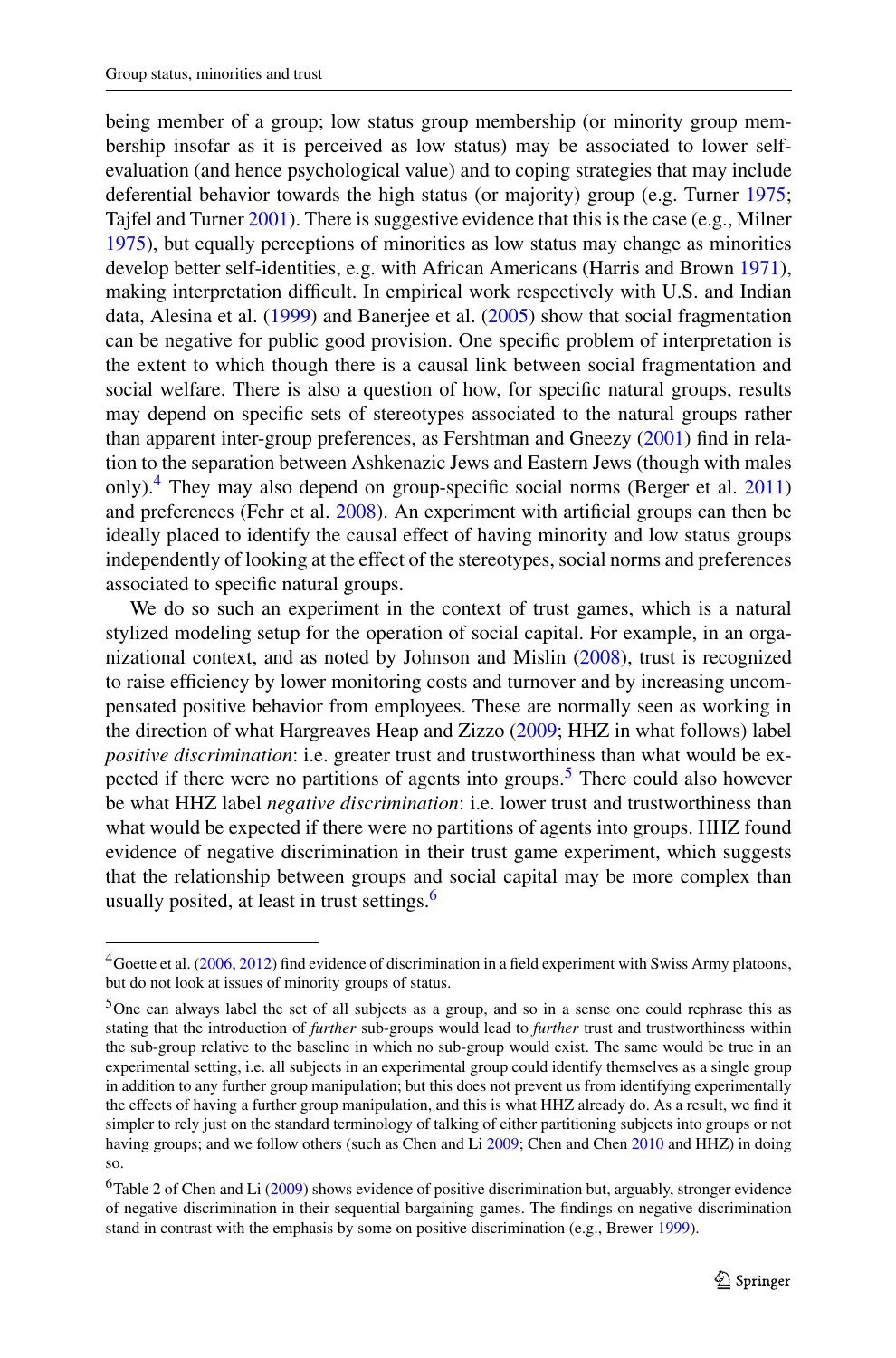being member of a group; low status group membership (or minority group membership insofar as it is perceived as low status) may be associated to lower selfevaluation (and hence psychological value) and to coping strategies that may include deferential behavior towards the high status (or majority) group (e.g. Turner [1975;](#page-29-9) Tajfel and Turner [2001\)](#page-29-4). There is suggestive evidence that this is the case (e.g., Milner [1975\)](#page-29-10), but equally perceptions of minorities as low status may change as minorities develop better self-identities, e.g. with African Americans (Harris and Brown [1971\)](#page-28-10), making interpretation difficult. In empirical work respectively with U.S. and Indian data, Alesina et al. [\(1999](#page-27-2)) and Banerjee et al. [\(2005](#page-27-3)) show that social fragmentation can be negative for public good provision. One specific problem of interpretation is the extent to which though there is a causal link between social fragmentation and social welfare. There is also a question of how, for specific natural groups, results may depend on specific sets of stereotypes associated to the natural groups rather than apparent inter-group preferences, as Fershtman and Gneezy ([2001\)](#page-28-11) find in relation to the separation between Ashkenazic Jews and Eastern Jews (though with males only)[.4](#page-2-0) They may also depend on group-specific social norms (Berger et al. [2011](#page-27-4)) and preferences (Fehr et al. [2008\)](#page-28-12). An experiment with artificial groups can then be ideally placed to identify the causal effect of having minority and low status groups independently of looking at the effect of the stereotypes, social norms and preferences associated to specific natural groups.

<span id="page-2-0"></span>We do so such an experiment in the context of trust games, which is a natural stylized modeling setup for the operation of social capital. For example, in an organizational context, and as noted by Johnson and Mislin ([2008](#page-29-11)), trust is recognized to raise efficiency by lower monitoring costs and turnover and by increasing uncompensated positive behavior from employees. These are normally seen as working in the direction of what Hargreaves Heap and Zizzo [\(2009](#page-28-4); HHZ in what follows) label *positive discrimination*: i.e. greater trust and trustworthiness than what would be expected if there were no partitions of agents into groups.<sup>5</sup> There could also however be what HHZ label *negative discrimination*: i.e. lower trust and trustworthiness than what would be expected if there were no partitions of agents into groups. HHZ found evidence of negative discrimination in their trust game experiment, which suggests that the relationship between groups and social capital may be more complex than usually posited, at least in trust settings.<sup>[6](#page-2-2)</sup>

<span id="page-2-1"></span><sup>&</sup>lt;sup>4</sup>Goette et al. ([2006,](#page-28-1) [2012](#page-28-13)) find evidence of discrimination in a field experiment with Swiss Army platoons, but do not look at issues of minority groups of status.

<span id="page-2-2"></span><sup>5</sup>One can always label the set of all subjects as a group, and so in a sense one could rephrase this as stating that the introduction of *further* sub-groups would lead to *further* trust and trustworthiness within the sub-group relative to the baseline in which no sub-group would exist. The same would be true in an experimental setting, i.e. all subjects in an experimental group could identify themselves as a single group in addition to any further group manipulation; but this does not prevent us from identifying experimentally the effects of having a further group manipulation, and this is what HHZ already do. As a result, we find it simpler to rely just on the standard terminology of talking of either partitioning subjects into groups or not having groups; and we follow others (such as Chen and Li [2009;](#page-28-3) Chen and Chen [2010](#page-28-5) and HHZ) in doing so.

 $6$ Table 2 of Chen and Li ([2009\)](#page-28-3) shows evidence of positive discrimination but, arguably, stronger evidence of negative discrimination in their sequential bargaining games. The findings on negative discrimination stand in contrast with the emphasis by some on positive discrimination (e.g., Brewer [1999\)](#page-28-14).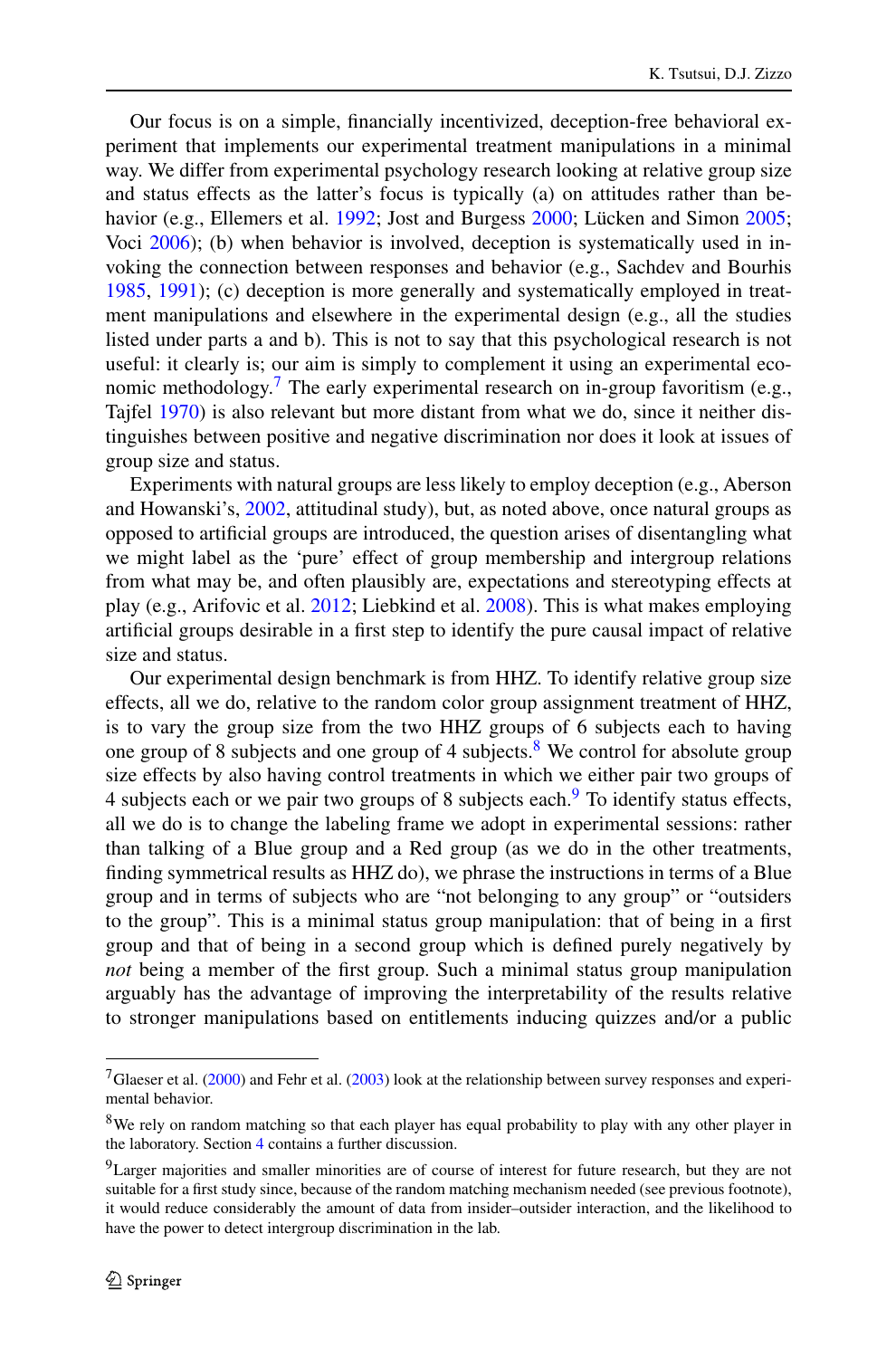Our focus is on a simple, financially incentivized, deception-free behavioral experiment that implements our experimental treatment manipulations in a minimal way. We differ from experimental psychology research looking at relative group size and status effects as the latter's focus is typically (a) on attitudes rather than be-havior (e.g., Ellemers et al. [1992](#page-28-15); Jost and Burgess [2000;](#page-29-12) Lücken and Simon [2005;](#page-29-13) Voci [2006](#page-29-14)); (b) when behavior is involved, deception is systematically used in invoking the connection between responses and behavior (e.g., Sachdev and Bourhis [1985,](#page-29-15) [1991](#page-29-16)); (c) deception is more generally and systematically employed in treatment manipulations and elsewhere in the experimental design (e.g., all the studies listed under parts a and b). This is not to say that this psychological research is not useful: it clearly is; our aim is simply to complement it using an experimental economic methodology.<sup>7</sup> The early experimental research on in-group favoritism (e.g., Tajfel [1970\)](#page-29-17) is also relevant but more distant from what we do, since it neither distinguishes between positive and negative discrimination nor does it look at issues of group size and status.

Experiments with natural groups are less likely to employ deception (e.g., Aberson and Howanski's, [2002](#page-27-5), attitudinal study), but, as noted above, once natural groups as opposed to artificial groups are introduced, the question arises of disentangling what we might label as the 'pure' effect of group membership and intergroup relations from what may be, and often plausibly are, expectations and stereotyping effects at play (e.g., Arifovic et al. [2012](#page-27-6); Liebkind et al. [2008](#page-29-18)). This is what makes employing artificial groups desirable in a first step to identify the pure causal impact of relative size and status.

Our experimental design benchmark is from HHZ. To identify relative group size effects, all we do, relative to the random color group assignment treatment of HHZ, is to vary the group size from the two HHZ groups of 6 subjects each to having one group of [8](#page-3-1) subjects and one group of 4 subjects.<sup>8</sup> We control for absolute group size effects by also having control treatments in which we either pair two groups of 4 subjects each or we pair two groups of 8 subjects each.<sup>[9](#page-3-2)</sup> To identify status effects, all we do is to change the labeling frame we adopt in experimental sessions: rather than talking of a Blue group and a Red group (as we do in the other treatments, finding symmetrical results as HHZ do), we phrase the instructions in terms of a Blue group and in terms of subjects who are "not belonging to any group" or "outsiders to the group". This is a minimal status group manipulation: that of being in a first group and that of being in a second group which is defined purely negatively by *not* being a member of the first group. Such a minimal status group manipulation arguably has the advantage of improving the interpretability of the results relative to stronger manipulations based on entitlements inducing quizzes and/or a public

<span id="page-3-3"></span><span id="page-3-2"></span><span id="page-3-1"></span><span id="page-3-0"></span><sup>7</sup>Glaeser et al. [\(2000\)](#page-28-16) and Fehr et al. ([2003\)](#page-28-17) look at the relationship between survey responses and experimental behavior.

<sup>&</sup>lt;sup>8</sup>We rely on random matching so that each player has equal probability to play with any other player in the laboratory. Section [4](#page-23-0) contains a further discussion.

<sup>9</sup>Larger majorities and smaller minorities are of course of interest for future research, but they are not suitable for a first study since, because of the random matching mechanism needed (see previous footnote), it would reduce considerably the amount of data from insider–outsider interaction, and the likelihood to have the power to detect intergroup discrimination in the lab.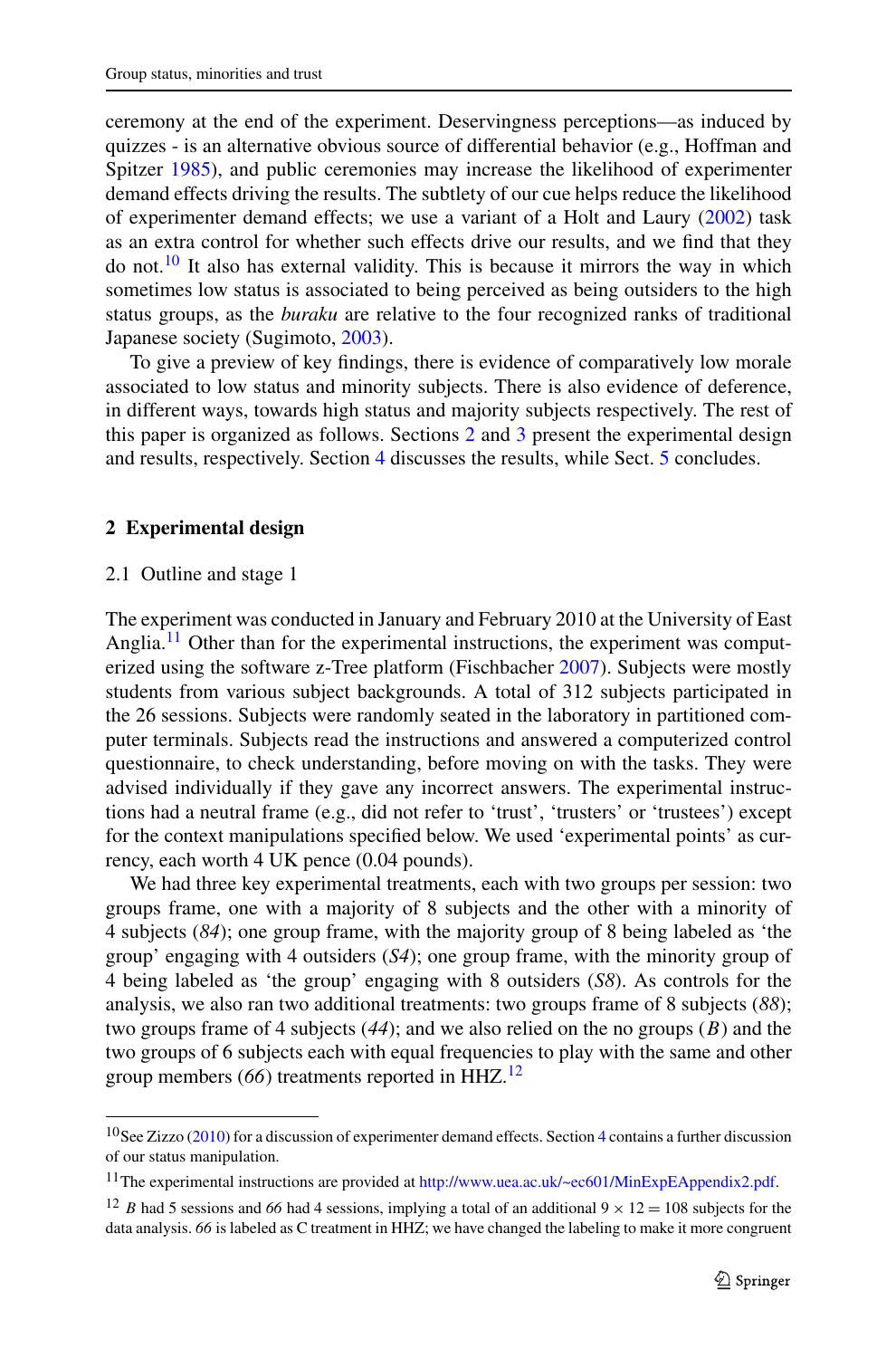ceremony at the end of the experiment. Deservingness perceptions—as induced by quizzes - is an alternative obvious source of differential behavior (e.g., Hoffman and Spitzer [1985](#page-29-19)), and public ceremonies may increase the likelihood of experimenter demand effects driving the results. The subtlety of our cue helps reduce the likelihood of experimenter demand effects; we use a variant of a Holt and Laury ([2002\)](#page-29-20) task as an extra control for whether such effects drive our results, and we find that they do not.<sup>10</sup> It also has external validity. This is because it mirrors the way in which sometimes low status is associated to being perceived as being outsiders to the high status groups, as the *buraku* are relative to the four recognized ranks of traditional Japanese society (Sugimoto, [2003](#page-29-3)).

<span id="page-4-1"></span>To give a preview of key findings, there is evidence of comparatively low morale associated to low status and minority subjects. There is also evidence of deference, in different ways, towards high status and majority subjects respectively. The rest of this paper is organized as follows. Sections [2](#page-4-1) and [3](#page-9-0) present the experimental design and results, respectively. Section [4](#page-23-0) discusses the results, while Sect. [5](#page-27-7) concludes.

#### **2 Experimental design**

#### 2.1 Outline and stage 1

The experiment was conducted in January and February 2010 at the University of East Anglia.<sup>11</sup> Other than for the experimental instructions, the experiment was computerized using the software z-Tree platform (Fischbacher [2007](#page-28-18)). Subjects were mostly students from various subject backgrounds. A total of 312 subjects participated in the 26 sessions. Subjects were randomly seated in the laboratory in partitioned computer terminals. Subjects read the instructions and answered a computerized control questionnaire, to check understanding, before moving on with the tasks. They were advised individually if they gave any incorrect answers. The experimental instructions had a neutral frame (e.g., did not refer to 'trust', 'trusters' or 'trustees') except for the context manipulations specified below. We used 'experimental points' as currency, each worth 4 UK pence (0.04 pounds).

<span id="page-4-2"></span><span id="page-4-0"></span>We had three key experimental treatments, each with two groups per session: two groups frame, one with a majority of 8 subjects and the other with a minority of 4 subjects (*84*); one group frame, with the majority group of 8 being labeled as 'the group' engaging with 4 outsiders (*S4*); one group frame, with the minority group of 4 being labeled as 'the group' engaging with 8 outsiders (*S8*). As controls for the analysis, we also ran two additional treatments: two groups frame of 8 subjects (*88*); two groups frame of 4 subjects (*44*); and we also relied on the no groups (*B*) and the two groups of 6 subjects each with equal frequencies to play with the same and other group members (*66*) treatments reported in HHZ.[12](#page-4-3)

<span id="page-4-3"></span><sup>&</sup>lt;sup>10</sup>See Zizzo [\(2010](#page-29-21)) for a discussion of experimenter demand effects. Section [4](#page-23-0) contains a further discussion of our status manipulation.

<sup>11</sup>The experimental instructions are provided at [http://www.uea.ac.uk/~ec601/MinExpEAppendix2.pdf.](http://www.uea.ac.uk/~ec601/MinExpEAppendix2.pdf)

<sup>&</sup>lt;sup>12</sup> *B* had 5 sessions and 66 had 4 sessions, implying a total of an additional  $9 \times 12 = 108$  subjects for the data analysis. *66* is labeled as C treatment in HHZ; we have changed the labeling to make it more congruent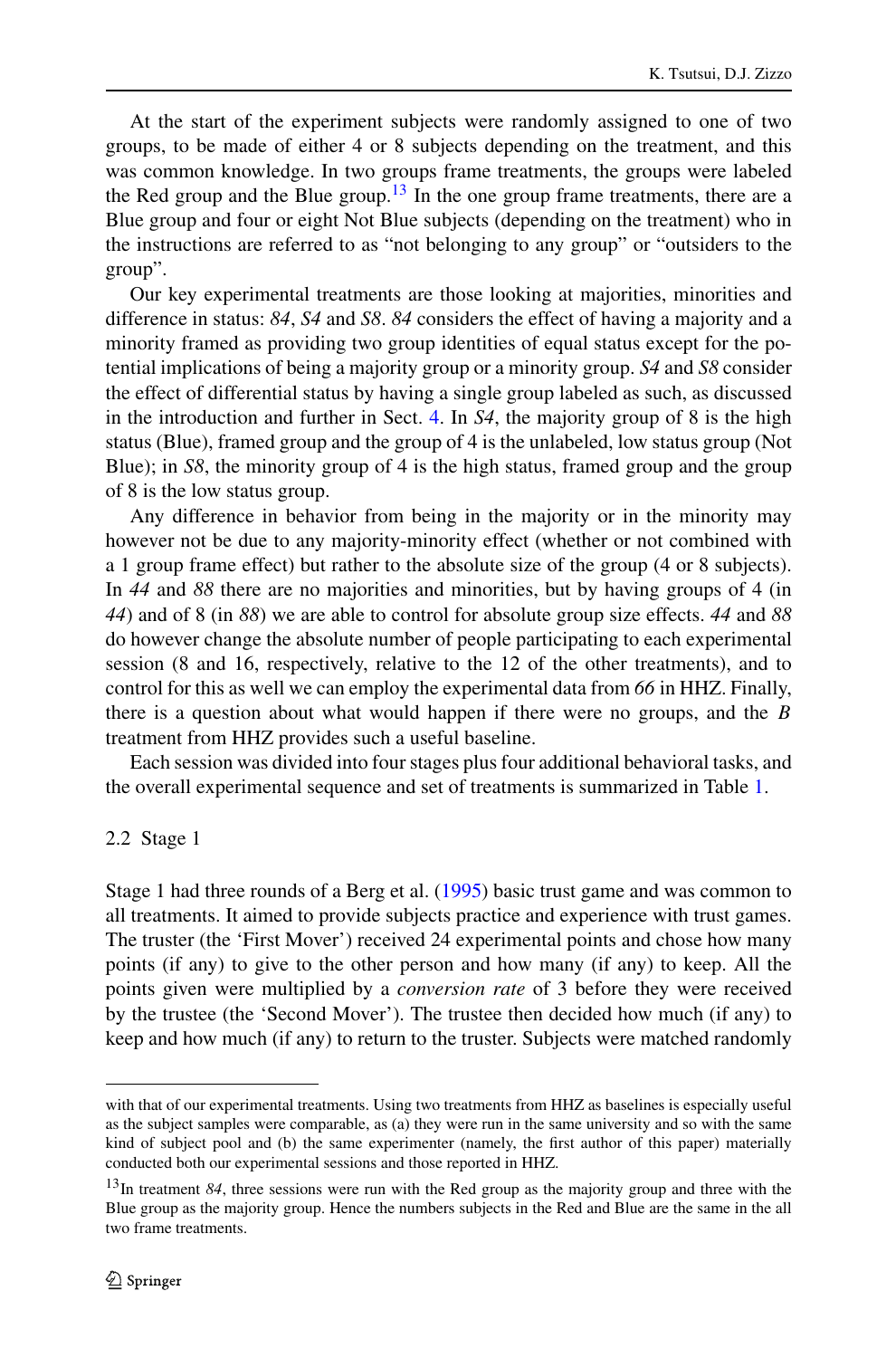At the start of the experiment subjects were randomly assigned to one of two groups, to be made of either 4 or 8 subjects depending on the treatment, and this was common knowledge. In two groups frame treatments, the groups were labeled the Red group and the Blue group.<sup>[13](#page-5-0)</sup> In the one group frame treatments, there are a Blue group and four or eight Not Blue subjects (depending on the treatment) who in the instructions are referred to as "not belonging to any group" or "outsiders to the group".

Our key experimental treatments are those looking at majorities, minorities and difference in status: *84*, *S4* and *S8*. *84* considers the effect of having a majority and a minority framed as providing two group identities of equal status except for the potential implications of being a majority group or a minority group. *S4* and *S8* consider the effect of differential status by having a single group labeled as such, as discussed in the introduction and further in Sect. [4.](#page-23-0) In *S4*, the majority group of 8 is the high status (Blue), framed group and the group of 4 is the unlabeled, low status group (Not Blue); in *S8*, the minority group of 4 is the high status, framed group and the group of 8 is the low status group.

Any difference in behavior from being in the majority or in the minority may however not be due to any majority-minority effect (whether or not combined with a 1 group frame effect) but rather to the absolute size of the group (4 or 8 subjects). In *44* and *88* there are no majorities and minorities, but by having groups of 4 (in *44*) and of 8 (in *88*) we are able to control for absolute group size effects. *44* and *88* do however change the absolute number of people participating to each experimental session (8 and 16, respectively, relative to the 12 of the other treatments), and to control for this as well we can employ the experimental data from *66* in HHZ. Finally, there is a question about what would happen if there were no groups, and the *B* treatment from HHZ provides such a useful baseline.

Each session was divided into four stages plus four additional behavioral tasks, and the overall experimental sequence and set of treatments is summarized in Table [1.](#page-6-0)

# 2.2 Stage 1

Stage 1 had three rounds of a Berg et al. [\(1995](#page-27-8)) basic trust game and was common to all treatments. It aimed to provide subjects practice and experience with trust games. The truster (the 'First Mover') received 24 experimental points and chose how many points (if any) to give to the other person and how many (if any) to keep. All the points given were multiplied by a *conversion rate* of 3 before they were received by the trustee (the 'Second Mover'). The trustee then decided how much (if any) to keep and how much (if any) to return to the truster. Subjects were matched randomly

<span id="page-5-0"></span>with that of our experimental treatments. Using two treatments from HHZ as baselines is especially useful as the subject samples were comparable, as (a) they were run in the same university and so with the same kind of subject pool and (b) the same experimenter (namely, the first author of this paper) materially conducted both our experimental sessions and those reported in HHZ.

<sup>&</sup>lt;sup>13</sup>In treatment 84, three sessions were run with the Red group as the majority group and three with the Blue group as the majority group. Hence the numbers subjects in the Red and Blue are the same in the all two frame treatments.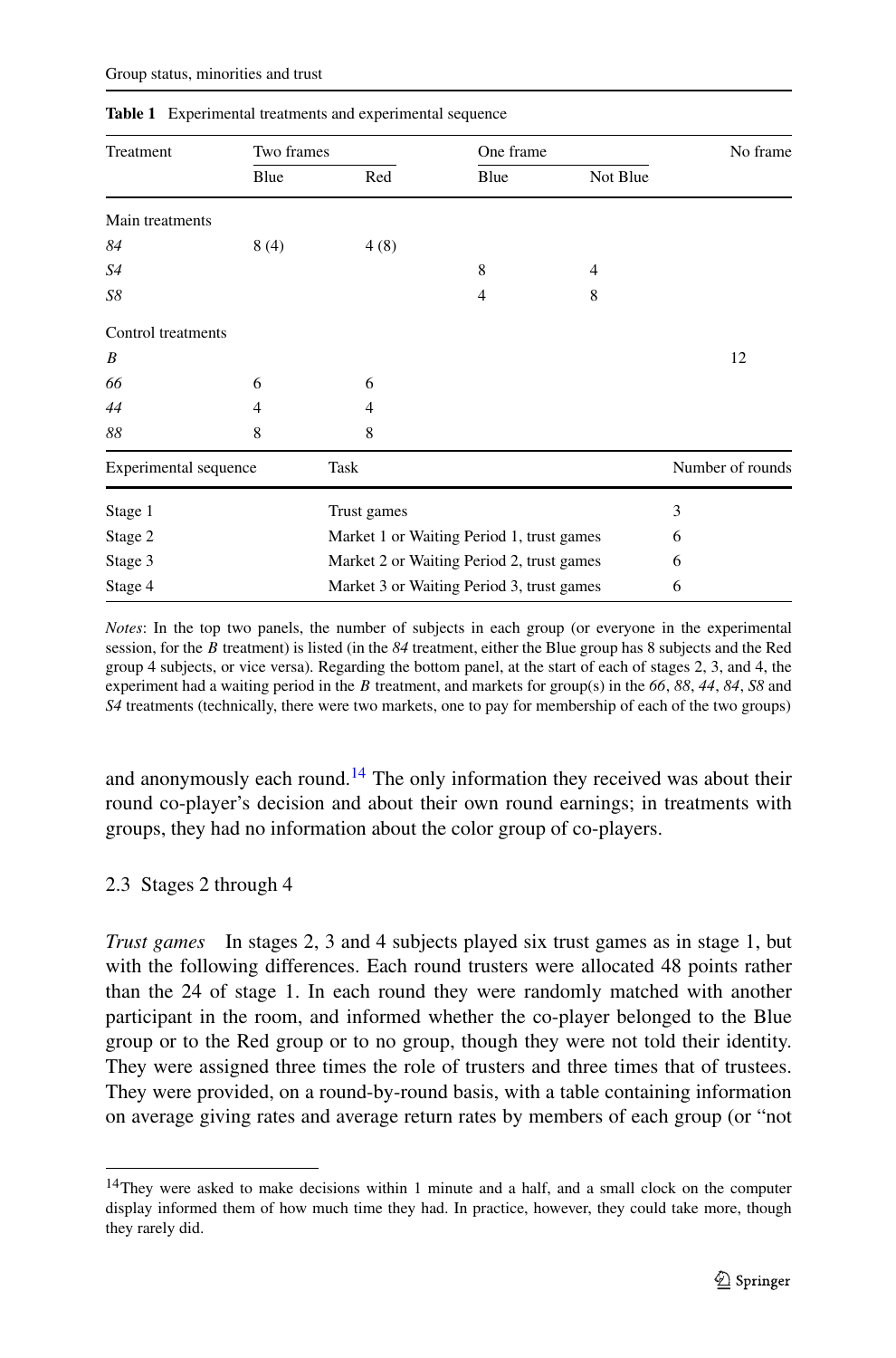| Treatment             | Two frames |                                           | One frame                                 |          | No frame         |  |  |
|-----------------------|------------|-------------------------------------------|-------------------------------------------|----------|------------------|--|--|
|                       | Blue       | Red                                       | Blue                                      | Not Blue |                  |  |  |
| Main treatments       |            |                                           |                                           |          |                  |  |  |
| 84                    | 8(4)       | 4(8)                                      |                                           |          |                  |  |  |
| S4                    |            |                                           | 8                                         | 4        |                  |  |  |
| S8                    |            |                                           | 4                                         | 8        |                  |  |  |
| Control treatments    |            |                                           |                                           |          |                  |  |  |
| B                     |            |                                           |                                           |          | 12               |  |  |
| 66                    | 6          | 6                                         |                                           |          |                  |  |  |
| 44                    | 4          | $\overline{4}$                            |                                           |          |                  |  |  |
| 88                    | 8          | 8                                         |                                           |          |                  |  |  |
| Experimental sequence |            | Task                                      |                                           |          | Number of rounds |  |  |
| Stage 1               |            | Trust games                               |                                           |          | 3                |  |  |
| Stage 2               |            | Market 1 or Waiting Period 1, trust games | 6                                         |          |                  |  |  |
| Stage 3               |            |                                           | Market 2 or Waiting Period 2, trust games |          |                  |  |  |
| Stage 4               |            |                                           | Market 3 or Waiting Period 3, trust games |          |                  |  |  |

<span id="page-6-0"></span>**Table 1** Experimental treatments and experimental sequence

*Notes*: In the top two panels, the number of subjects in each group (or everyone in the experimental session, for the *B* treatment) is listed (in the *84* treatment, either the Blue group has 8 subjects and the Red group 4 subjects, or vice versa). Regarding the bottom panel, at the start of each of stages 2, 3, and 4, the experiment had a waiting period in the *B* treatment, and markets for group(s) in the *66*, *88*, *44*, *84*, *S8* and *S4* treatments (technically, there were two markets, one to pay for membership of each of the two groups)

and anonymously each round.<sup>14</sup> The only information they received was about their round co-player's decision and about their own round earnings; in treatments with groups, they had no information about the color group of co-players.

# 2.3 Stages 2 through 4

<span id="page-6-1"></span>*Trust games* In stages 2, 3 and 4 subjects played six trust games as in stage 1, but with the following differences. Each round trusters were allocated 48 points rather than the 24 of stage 1. In each round they were randomly matched with another participant in the room, and informed whether the co-player belonged to the Blue group or to the Red group or to no group, though they were not told their identity. They were assigned three times the role of trusters and three times that of trustees. They were provided, on a round-by-round basis, with a table containing information on average giving rates and average return rates by members of each group (or "not

<sup>&</sup>lt;sup>14</sup>They were asked to make decisions within 1 minute and a half, and a small clock on the computer display informed them of how much time they had. In practice, however, they could take more, though they rarely did.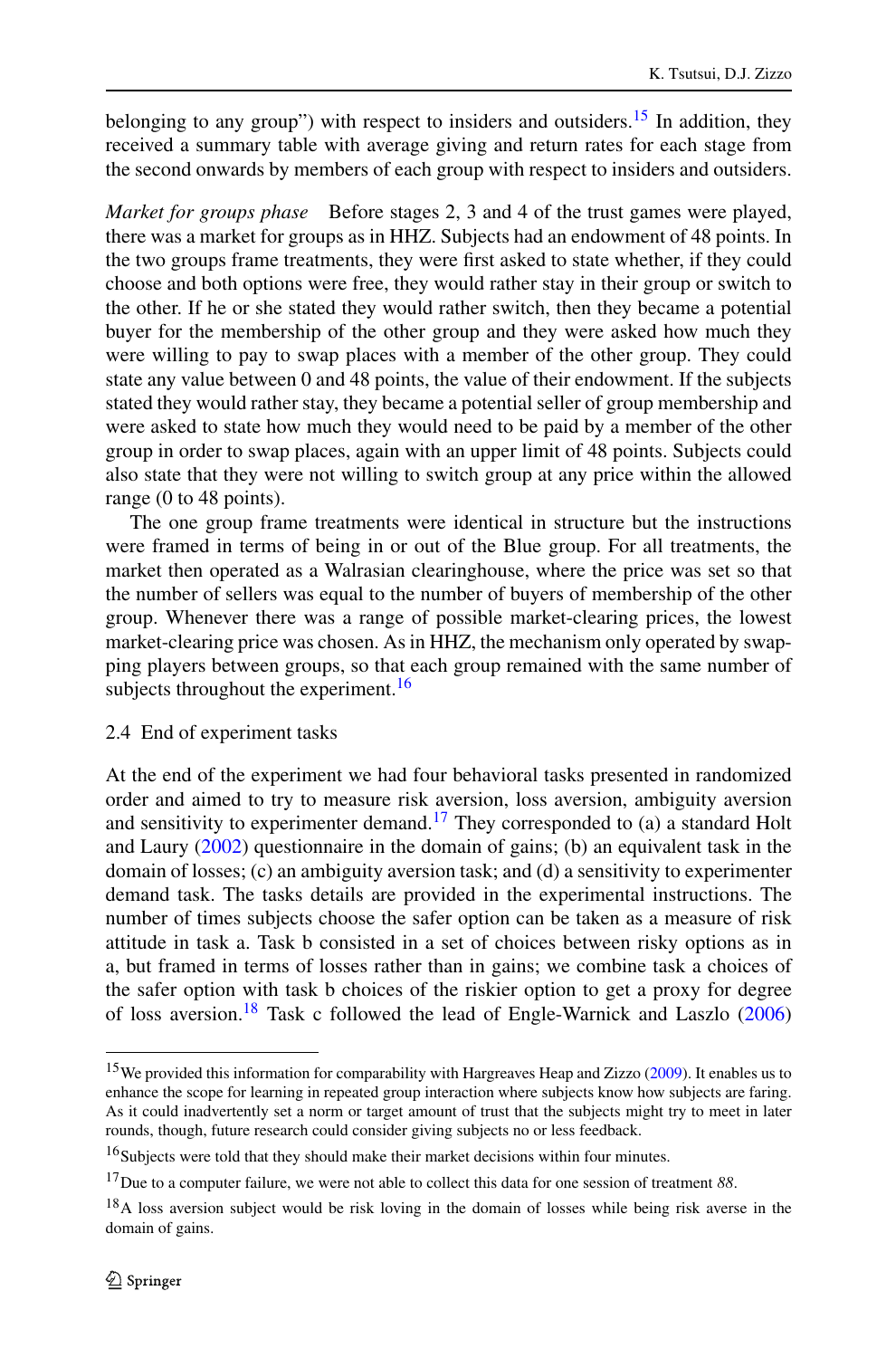belonging to any group") with respect to insiders and outsiders.<sup>[15](#page-7-0)</sup> In addition, they received a summary table with average giving and return rates for each stage from the second onwards by members of each group with respect to insiders and outsiders.

*Market for groups phase* Before stages 2, 3 and 4 of the trust games were played, there was a market for groups as in HHZ. Subjects had an endowment of 48 points. In the two groups frame treatments, they were first asked to state whether, if they could choose and both options were free, they would rather stay in their group or switch to the other. If he or she stated they would rather switch, then they became a potential buyer for the membership of the other group and they were asked how much they were willing to pay to swap places with a member of the other group. They could state any value between 0 and 48 points, the value of their endowment. If the subjects stated they would rather stay, they became a potential seller of group membership and were asked to state how much they would need to be paid by a member of the other group in order to swap places, again with an upper limit of 48 points. Subjects could also state that they were not willing to switch group at any price within the allowed range (0 to 48 points).

The one group frame treatments were identical in structure but the instructions were framed in terms of being in or out of the Blue group. For all treatments, the market then operated as a Walrasian clearinghouse, where the price was set so that the number of sellers was equal to the number of buyers of membership of the other group. Whenever there was a range of possible market-clearing prices, the lowest market-clearing price was chosen. As in HHZ, the mechanism only operated by swapping players between groups, so that each group remained with the same number of subjects throughout the experiment. $16$ 

# 2.4 End of experiment tasks

<span id="page-7-0"></span>At the end of the experiment we had four behavioral tasks presented in randomized order and aimed to try to measure risk aversion, loss aversion, ambiguity aversion and sensitivity to experimenter demand.<sup>17</sup> They corresponded to (a) a standard Holt and Laury ([2002\)](#page-29-20) questionnaire in the domain of gains; (b) an equivalent task in the domain of losses; (c) an ambiguity aversion task; and (d) a sensitivity to experimenter demand task. The tasks details are provided in the experimental instructions. The number of times subjects choose the safer option can be taken as a measure of risk attitude in task a. Task b consisted in a set of choices between risky options as in a, but framed in terms of losses rather than in gains; we combine task a choices of the safer option with task b choices of the riskier option to get a proxy for degree of loss aversion.<sup>18</sup> Task c followed the lead of Engle-Warnick and Laszlo  $(2006)$  $(2006)$ 

<span id="page-7-3"></span><span id="page-7-2"></span><span id="page-7-1"></span><sup>&</sup>lt;sup>15</sup>We provided this information for comparability with Hargreaves Heap and Zizzo ([2009\)](#page-28-4). It enables us to enhance the scope for learning in repeated group interaction where subjects know how subjects are faring. As it could inadvertently set a norm or target amount of trust that the subjects might try to meet in later rounds, though, future research could consider giving subjects no or less feedback.

<sup>16</sup>Subjects were told that they should make their market decisions within four minutes.

<sup>17</sup>Due to a computer failure, we were not able to collect this data for one session of treatment *88*.

<sup>&</sup>lt;sup>18</sup>A loss aversion subject would be risk loving in the domain of losses while being risk averse in the domain of gains.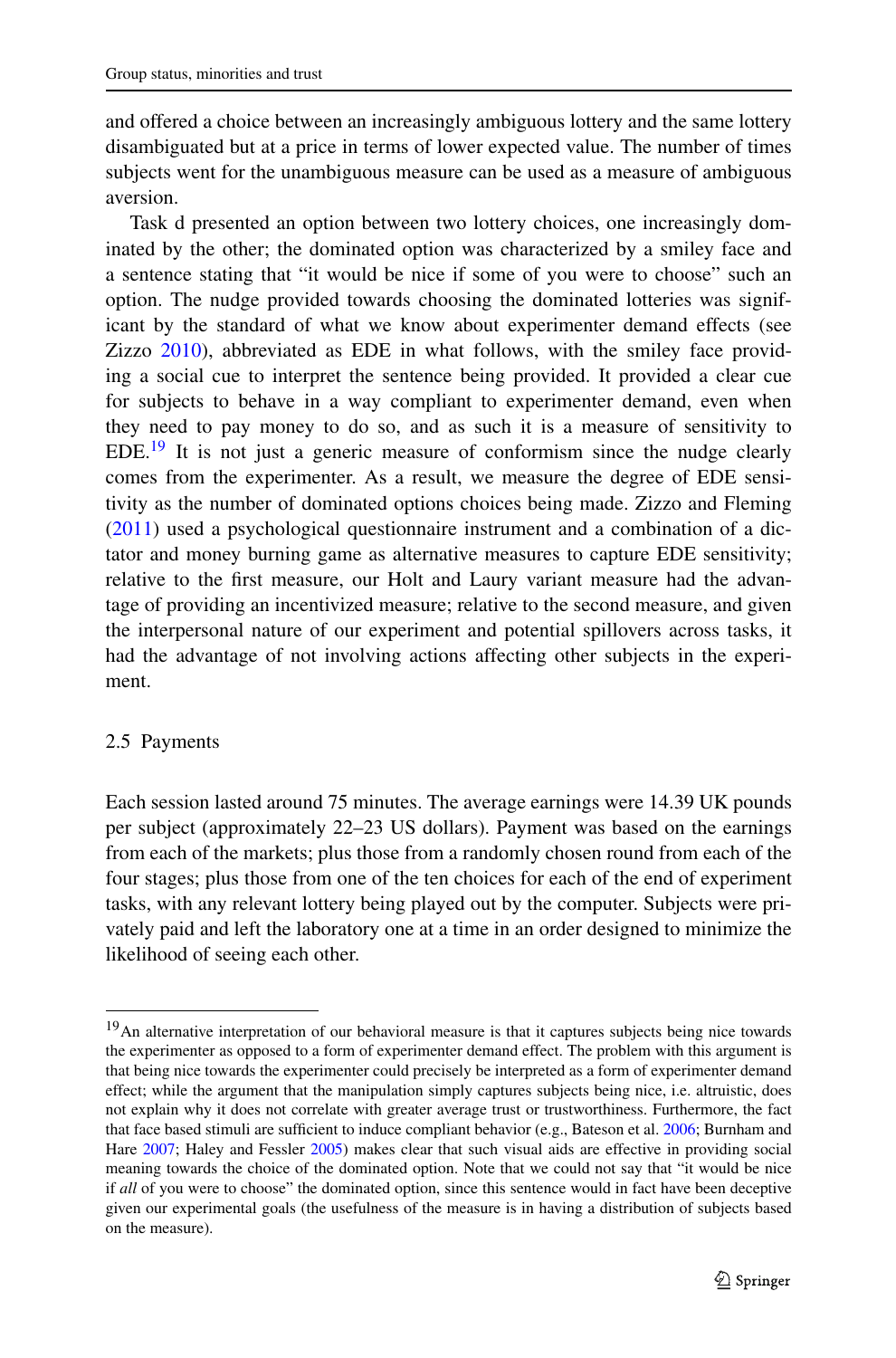and offered a choice between an increasingly ambiguous lottery and the same lottery disambiguated but at a price in terms of lower expected value. The number of times subjects went for the unambiguous measure can be used as a measure of ambiguous aversion.

Task d presented an option between two lottery choices, one increasingly dominated by the other; the dominated option was characterized by a smiley face and a sentence stating that "it would be nice if some of you were to choose" such an option. The nudge provided towards choosing the dominated lotteries was significant by the standard of what we know about experimenter demand effects (see Zizzo [2010\)](#page-29-21), abbreviated as EDE in what follows, with the smiley face providing a social cue to interpret the sentence being provided. It provided a clear cue for subjects to behave in a way compliant to experimenter demand, even when they need to pay money to do so, and as such it is a measure of sensitivity to  $EDE<sup>19</sup>$  $EDE<sup>19</sup>$  $EDE<sup>19</sup>$  It is not just a generic measure of conformism since the nudge clearly comes from the experimenter. As a result, we measure the degree of EDE sensitivity as the number of dominated options choices being made. Zizzo and Fleming [\(2011](#page-29-22)) used a psychological questionnaire instrument and a combination of a dictator and money burning game as alternative measures to capture EDE sensitivity; relative to the first measure, our Holt and Laury variant measure had the advantage of providing an incentivized measure; relative to the second measure, and given the interpersonal nature of our experiment and potential spillovers across tasks, it had the advantage of not involving actions affecting other subjects in the experiment.

# 2.5 Payments

<span id="page-8-0"></span>Each session lasted around 75 minutes. The average earnings were 14.39 UK pounds per subject (approximately 22–23 US dollars). Payment was based on the earnings from each of the markets; plus those from a randomly chosen round from each of the four stages; plus those from one of the ten choices for each of the end of experiment tasks, with any relevant lottery being played out by the computer. Subjects were privately paid and left the laboratory one at a time in an order designed to minimize the likelihood of seeing each other.

<sup>&</sup>lt;sup>19</sup>An alternative interpretation of our behavioral measure is that it captures subjects being nice towards the experimenter as opposed to a form of experimenter demand effect. The problem with this argument is that being nice towards the experimenter could precisely be interpreted as a form of experimenter demand effect; while the argument that the manipulation simply captures subjects being nice, i.e. altruistic, does not explain why it does not correlate with greater average trust or trustworthiness. Furthermore, the fact that face based stimuli are sufficient to induce compliant behavior (e.g., Bateson et al. [2006](#page-27-9); Burnham and Hare [2007](#page-28-20); Haley and Fessler [2005](#page-28-21)) makes clear that such visual aids are effective in providing social meaning towards the choice of the dominated option. Note that we could not say that "it would be nice if *all* of you were to choose" the dominated option, since this sentence would in fact have been deceptive given our experimental goals (the usefulness of the measure is in having a distribution of subjects based on the measure).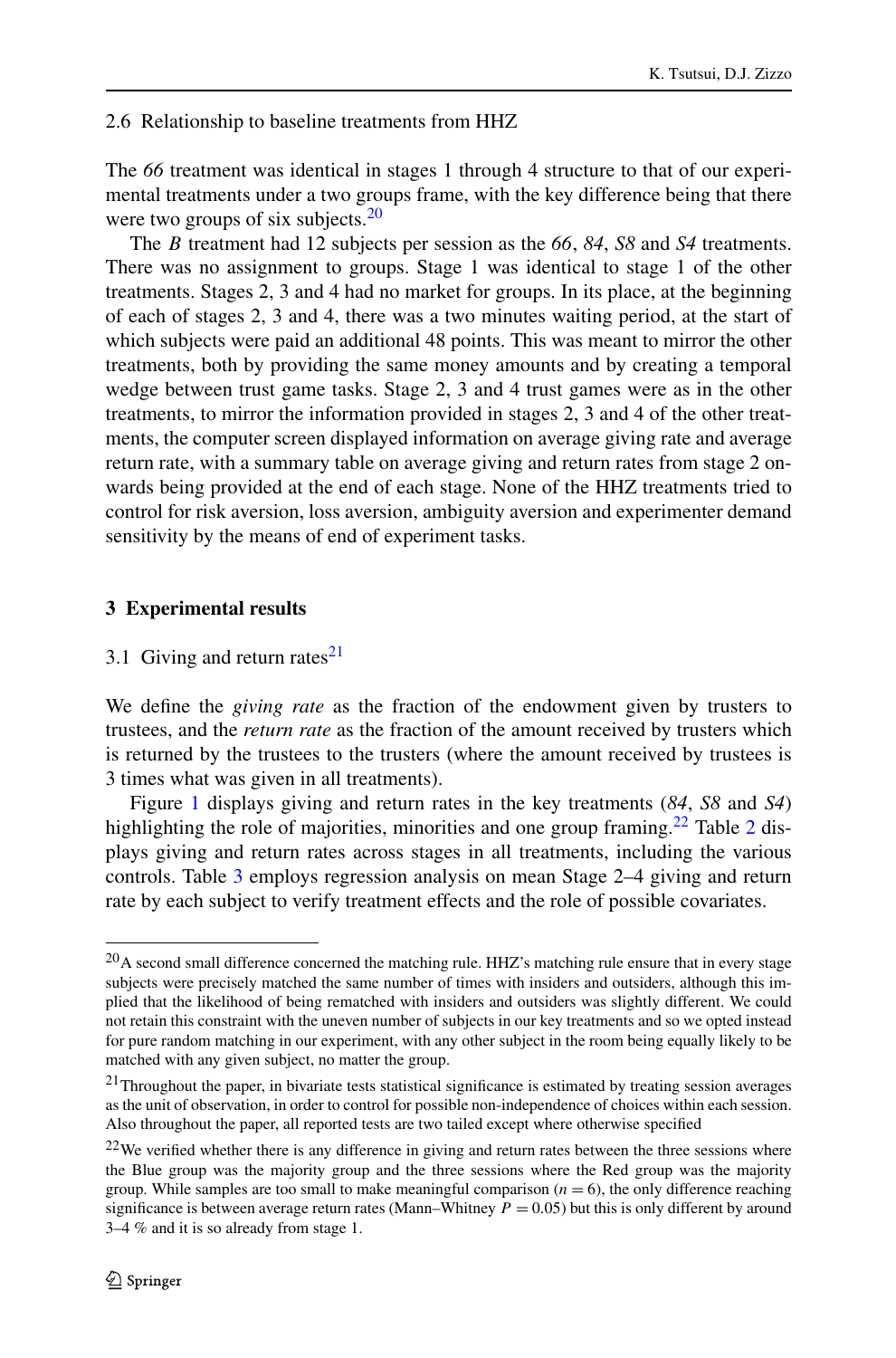### 2.6 Relationship to baseline treatments from HHZ

The *66* treatment was identical in stages 1 through 4 structure to that of our experimental treatments under a two groups frame, with the key difference being that there were two groups of six subjects. $20$ 

The *B* treatment had 12 subjects per session as the *66*, *84*, *S8* and *S4* treatments. There was no assignment to groups. Stage 1 was identical to stage 1 of the other treatments. Stages 2, 3 and 4 had no market for groups. In its place, at the beginning of each of stages 2, 3 and 4, there was a two minutes waiting period, at the start of which subjects were paid an additional 48 points. This was meant to mirror the other treatments, both by providing the same money amounts and by creating a temporal wedge between trust game tasks. Stage 2, 3 and 4 trust games were as in the other treatments, to mirror the information provided in stages 2, 3 and 4 of the other treatments, the computer screen displayed information on average giving rate and average return rate, with a summary table on average giving and return rates from stage 2 onwards being provided at the end of each stage. None of the HHZ treatments tried to control for risk aversion, loss aversion, ambiguity aversion and experimenter demand sensitivity by the means of end of experiment tasks.

# <span id="page-9-0"></span>**3 Experimental results**

3.1 Giving and return rates<sup>[21](#page-9-2)</sup>

We define the *giving rate* as the fraction of the endowment given by trusters to trustees, and the *return rate* as the fraction of the amount received by trusters which is returned by the trustees to the trusters (where the amount received by trustees is 3 times what was given in all treatments).

<span id="page-9-4"></span><span id="page-9-1"></span>Figure [1](#page-10-0) displays giving and return rates in the key treatments (*84*, *S8* and *S4*) highlighting the role of majorities, minorities and one group framing.<sup>[2](#page-10-1)2</sup> Table 2 displays giving and return rates across stages in all treatments, including the various controls. Table [3](#page-11-0) employs regression analysis on mean Stage 2–4 giving and return rate by each subject to verify treatment effects and the role of possible covariates.

<span id="page-9-3"></span><span id="page-9-2"></span><sup>&</sup>lt;sup>20</sup>A second small difference concerned the matching rule. HHZ's matching rule ensure that in every stage subjects were precisely matched the same number of times with insiders and outsiders, although this implied that the likelihood of being rematched with insiders and outsiders was slightly different. We could not retain this constraint with the uneven number of subjects in our key treatments and so we opted instead for pure random matching in our experiment, with any other subject in the room being equally likely to be matched with any given subject, no matter the group.

 $21$ Throughout the paper, in bivariate tests statistical significance is estimated by treating session averages as the unit of observation, in order to control for possible non-independence of choices within each session. Also throughout the paper, all reported tests are two tailed except where otherwise specified

 $22$ We verified whether there is any difference in giving and return rates between the three sessions where the Blue group was the majority group and the three sessions where the Red group was the majority group. While samples are too small to make meaningful comparison  $(n = 6)$ , the only difference reaching significance is between average return rates (Mann–Whitney *P* = 0*.*05) but this is only different by around 3–4 % and it is so already from stage 1.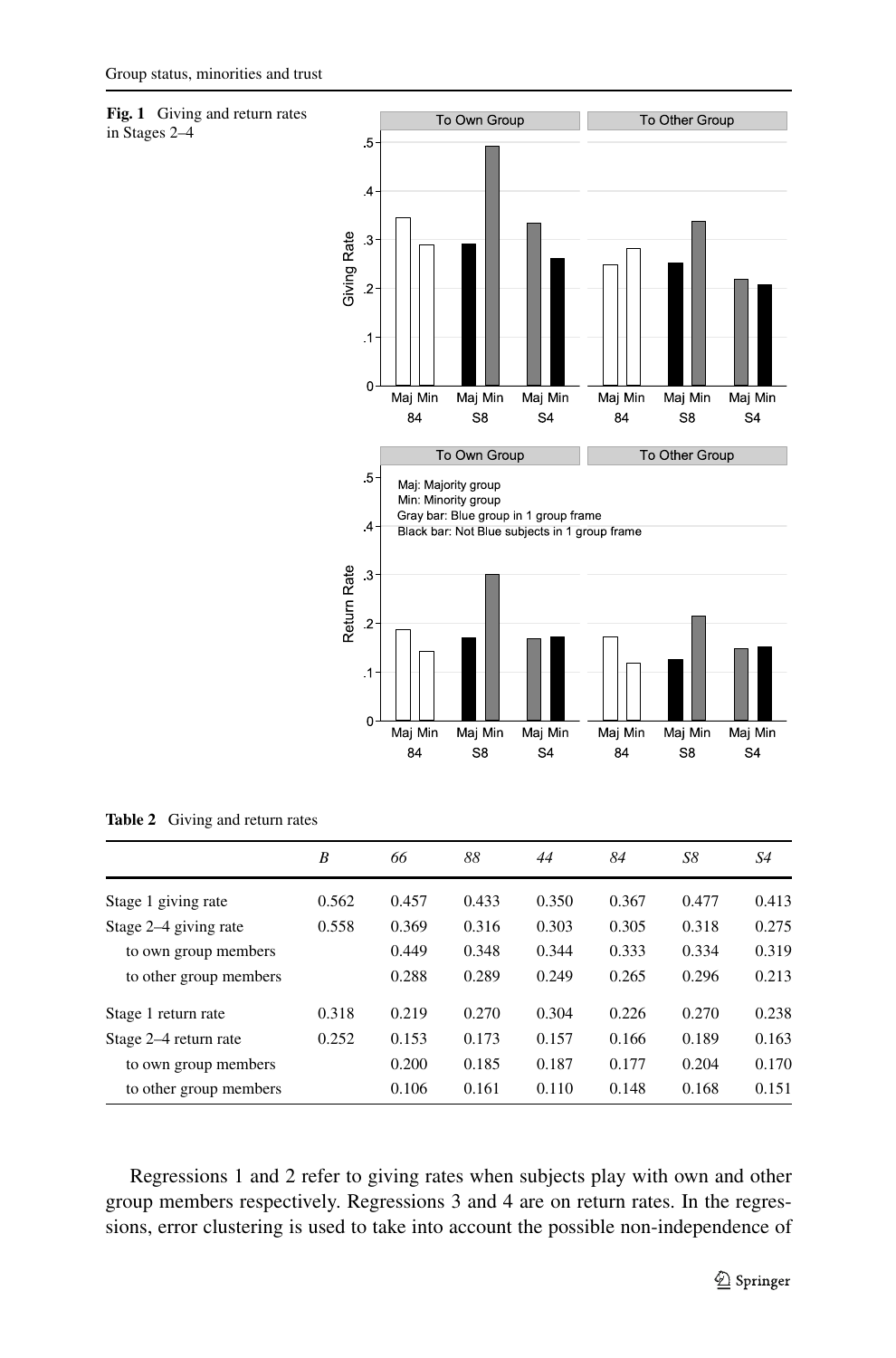<span id="page-10-0"></span>



|                        | B     | 66    | 88    | 44    | 84    | S8    | S4    |
|------------------------|-------|-------|-------|-------|-------|-------|-------|
| Stage 1 giving rate    | 0.562 | 0.457 | 0.433 | 0.350 | 0.367 | 0.477 | 0.413 |
| Stage 2–4 giving rate  | 0.558 | 0.369 | 0.316 | 0.303 | 0.305 | 0.318 | 0.275 |
| to own group members   |       | 0.449 | 0.348 | 0.344 | 0.333 | 0.334 | 0.319 |
| to other group members |       | 0.288 | 0.289 | 0.249 | 0.265 | 0.296 | 0.213 |
| Stage 1 return rate    | 0.318 | 0.219 | 0.270 | 0.304 | 0.226 | 0.270 | 0.238 |
| Stage 2–4 return rate  | 0.252 | 0.153 | 0.173 | 0.157 | 0.166 | 0.189 | 0.163 |
| to own group members   |       | 0.200 | 0.185 | 0.187 | 0.177 | 0.204 | 0.170 |
| to other group members |       | 0.106 | 0.161 | 0.110 | 0.148 | 0.168 | 0.151 |

<span id="page-10-1"></span>**Table 2** Giving and return rates

Regressions 1 and 2 refer to giving rates when subjects play with own and other group members respectively. Regressions 3 and 4 are on return rates. In the regressions, error clustering is used to take into account the possible non-independence of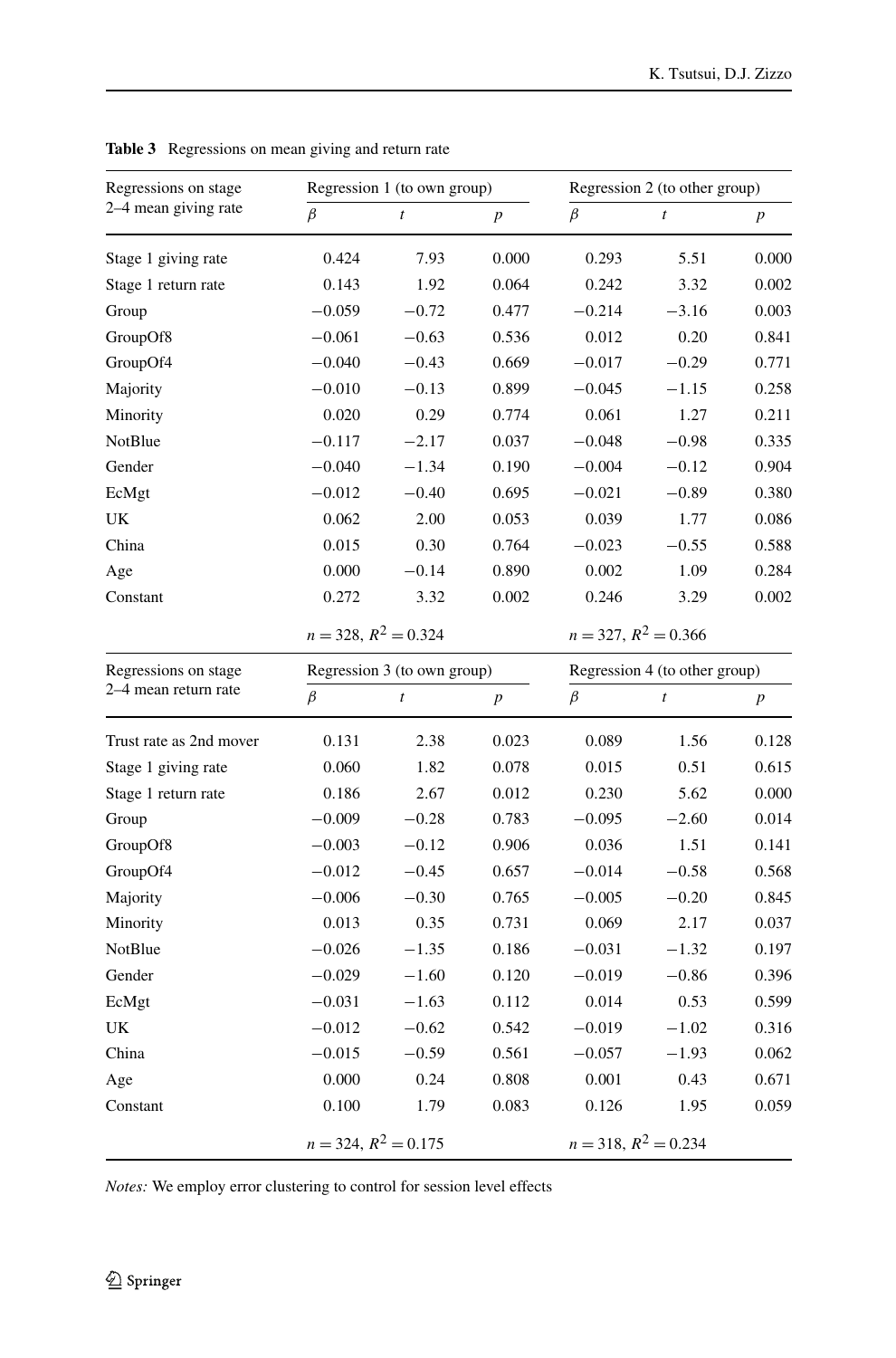| Regressions on stage    |                        | Regression 1 (to own group) |                  | Regression 2 (to other group) |                               |                  |  |  |
|-------------------------|------------------------|-----------------------------|------------------|-------------------------------|-------------------------------|------------------|--|--|
| 2–4 mean giving rate    | $\beta$                | $\boldsymbol{t}$            | $\boldsymbol{p}$ | $\beta$                       | $\boldsymbol{t}$              | $\boldsymbol{p}$ |  |  |
| Stage 1 giving rate     | 0.424                  | 7.93                        | 0.000            | 0.293                         | 5.51                          | 0.000            |  |  |
| Stage 1 return rate     | 0.143                  | 1.92                        | 0.064            | 0.242                         | 3.32                          | 0.002            |  |  |
| Group                   | $-0.059$               | $-0.72$                     | 0.477            | $-0.214$                      | $-3.16$                       | 0.003            |  |  |
| GroupOf8                | $-0.061$               | $-0.63$                     | 0.536            | 0.012                         | 0.20                          | 0.841            |  |  |
| GroupOf4                | $-0.040$               | $-0.43$                     | 0.669            | $-0.017$                      | $-0.29$                       | 0.771            |  |  |
| Majority                | $-0.010$               | $-0.13$                     | 0.899            | $-0.045$                      | $-1.15$                       | 0.258            |  |  |
| Minority                | 0.020                  | 0.29                        | 0.774            | 0.061                         | 1.27                          | 0.211            |  |  |
| NotBlue                 | $-0.117$               | $-2.17$                     | 0.037            | $-0.048$                      | $-0.98$                       | 0.335            |  |  |
| Gender                  | $-0.040$               | $-1.34$                     | 0.190            | $-0.004$                      | $-0.12$                       | 0.904            |  |  |
| EcMgt                   | $-0.012$               | $-0.40$                     | 0.695            | $-0.021$                      | $-0.89$                       | 0.380            |  |  |
| UK                      | 0.062                  | 2.00                        | 0.053            | 0.039                         | 1.77                          | 0.086            |  |  |
| China                   | 0.015                  | 0.30                        | 0.764            | $-0.023$                      | $-0.55$                       | 0.588            |  |  |
| Age                     | 0.000                  | $-0.14$                     | 0.890            | 0.002                         | 1.09                          | 0.284            |  |  |
| Constant                | 0.272                  | 3.32                        | 0.002            | 0.246                         | 3.29                          | 0.002            |  |  |
|                         | $n = 328, R^2 = 0.324$ |                             |                  | $n = 327, R^2 = 0.366$        |                               |                  |  |  |
| Regressions on stage    |                        | Regression 3 (to own group) |                  |                               | Regression 4 (to other group) |                  |  |  |
| 2–4 mean return rate    | $\beta$                | t                           | $\boldsymbol{p}$ | $\beta$                       | $\boldsymbol{t}$              | $\boldsymbol{p}$ |  |  |
| Trust rate as 2nd mover | 0.131                  | 2.38                        | 0.023            | 0.089                         | 1.56                          | 0.128            |  |  |
| Stage 1 giving rate     | 0.060                  | 1.82                        | 0.078            | 0.015                         | 0.51                          | 0.615            |  |  |
| Stage 1 return rate     | 0.186                  | 2.67                        | 0.012            | 0.230                         | 5.62                          | 0.000            |  |  |
| Group                   | $-0.009$               | $-0.28$                     | 0.783            | $-0.095$                      | $-2.60$                       | 0.014            |  |  |
| GroupOf8                | $-0.003$               | $-0.12$                     | 0.906            | 0.036                         | 1.51                          | 0.141            |  |  |
| GroupOf4                | $-0.012$               | $-0.45$                     | 0.657            | $-0.014$                      | $-0.58$                       | 0.568            |  |  |
| Majority                | $-0.006$               | $-0.30$                     | 0.765            | $-0.005$                      | $-0.20$                       | 0.845            |  |  |
| Minority                | 0.013                  | 0.35                        | 0.731            | 0.069                         | 2.17                          | 0.037            |  |  |
| NotBlue                 | $-0.026$               | $-1.35$                     | 0.186            | $-0.031$                      | $-1.32$                       | 0.197            |  |  |
| Gender                  | $-0.029$               | $-1.60$                     | 0.120            | $-0.019$                      | $-0.86$                       | 0.396            |  |  |
| EcMgt                   | $-0.031$               | $-1.63$                     | 0.112            | 0.014                         | 0.53                          | 0.599            |  |  |
| UK                      | $-0.012$               | $-0.62$                     | 0.542            | $-0.019$                      | $-1.02$                       | 0.316            |  |  |
| China                   | $-0.015$               | $-0.59$                     | 0.561            | $-0.057$                      | $-1.93$                       | 0.062            |  |  |
| Age                     | 0.000                  | 0.24                        | 0.808            | 0.001                         | 0.43                          | 0.671            |  |  |
| Constant                | 0.100                  | 1.79                        | 0.083            | 0.126                         | 1.95                          | 0.059            |  |  |
|                         | $n = 324, R^2 = 0.175$ |                             |                  | $n = 318$ , $R^2 = 0.234$     |                               |                  |  |  |

<span id="page-11-0"></span>**Table 3** Regressions on mean giving and return rate

*Notes:* We employ error clustering to control for session level effects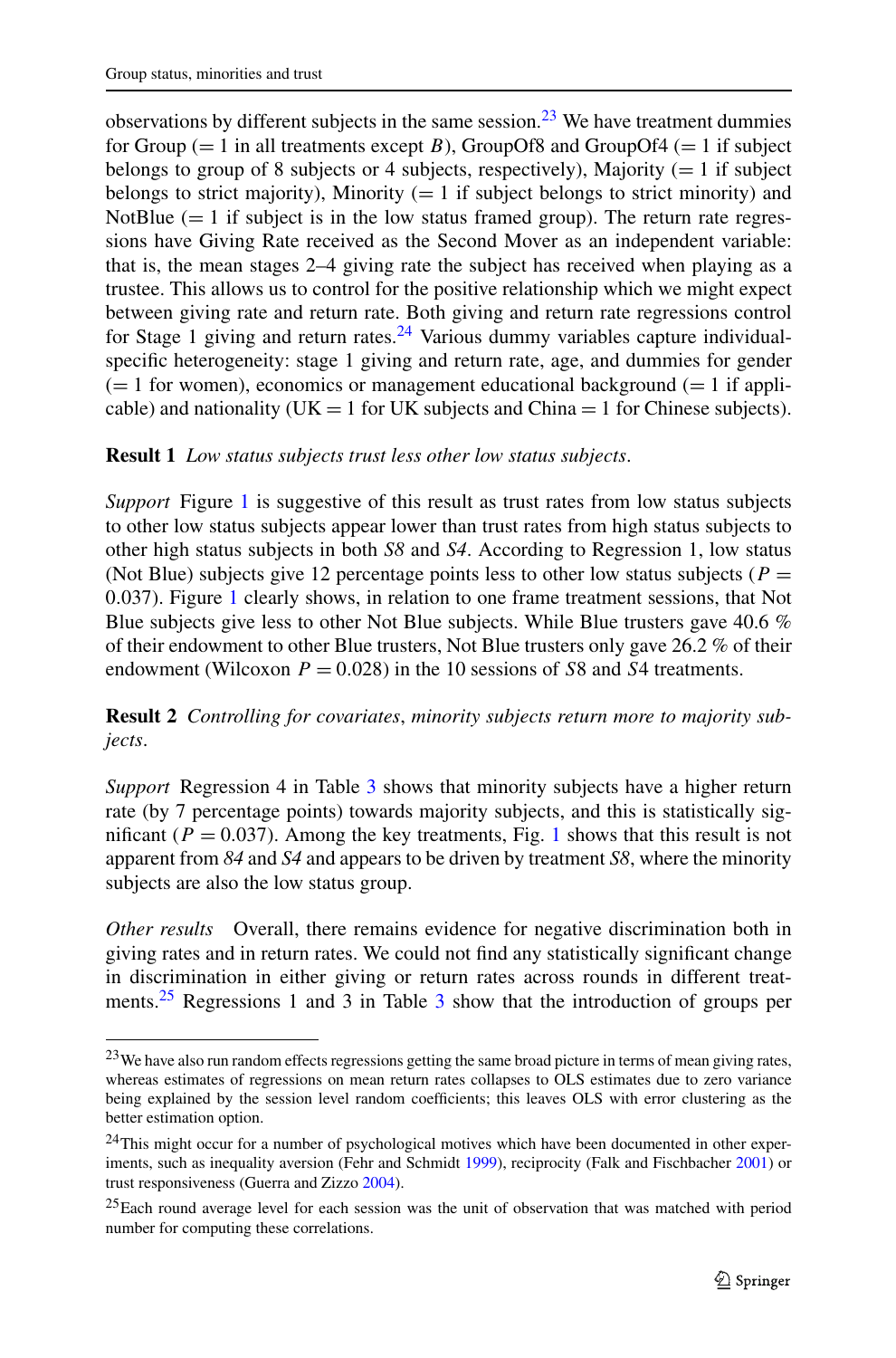<span id="page-12-3"></span>observations by different subjects in the same session.<sup>[23](#page-12-0)</sup> We have treatment dummies for Group  $(= 1 \text{ in all treatments except } B)$ , GroupOf8 and GroupOf4  $(= 1 \text{ if subject})$ belongs to group of 8 subjects or 4 subjects, respectively), Majority  $(= 1 \text{ if subject})$ belongs to strict majority), Minority  $(= 1 \text{ if subject belongs to strict minority})$  and NotBlue  $(= 1)$  if subject is in the low status framed group). The return rate regressions have Giving Rate received as the Second Mover as an independent variable: that is, the mean stages 2–4 giving rate the subject has received when playing as a trustee. This allows us to control for the positive relationship which we might expect between giving rate and return rate. Both giving and return rate regressions control for Stage 1 giving and return rates.<sup>[24](#page-12-1)</sup> Various dummy variables capture individualspecific heterogeneity: stage 1 giving and return rate, age, and dummies for gender  $(= 1$  for women), economics or management educational background  $(= 1$  if applicable) and nationality (UK = 1 for UK subjects and China = 1 for Chinese subjects).

# **Result 1** *Low status subjects trust less other low status subjects*.

<span id="page-12-4"></span>*Support* Figure [1](#page-10-0) is suggestive of this result as trust rates from low status subjects to other low status subjects appear lower than trust rates from high status subjects to other high status subjects in both *S8* and *S4*. According to Regression 1, low status (Not Blue) subjects give 12 percentage points less to other low status subjects ( $P =$ 0*.*037). Figure [1](#page-10-0) clearly shows, in relation to one frame treatment sessions, that Not Blue subjects give less to other Not Blue subjects. While Blue trusters gave 40.6 % of their endowment to other Blue trusters, Not Blue trusters only gave 26.2 % of their endowment (Wilcoxon  $P = 0.028$ ) in the 10 sessions of *S*8 and *S*4 treatments.

**Result 2** *Controlling for covariates*, *minority subjects return more to majority subjects*.

*Support* Regression 4 in Table [3](#page-11-0) shows that minority subjects have a higher return rate (by 7 percentage points) towards majority subjects, and this is statistically significant ( $P = 0.037$ ). Among the key treatments, Fig. [1](#page-10-0) shows that this result is not apparent from *84* and *S4* and appears to be driven by treatment *S8*, where the minority subjects are also the low status group.

<span id="page-12-1"></span><span id="page-12-0"></span>*Other results* Overall, there remains evidence for negative discrimination both in giving rates and in return rates. We could not find any statistically significant change in discrimination in either giving or return rates across rounds in different treat-ments.<sup>25</sup> Regressions 1 and [3](#page-11-0) in Table 3 show that the introduction of groups per

<span id="page-12-2"></span><sup>&</sup>lt;sup>23</sup>We have also run random effects regressions getting the same broad picture in terms of mean giving rates, whereas estimates of regressions on mean return rates collapses to OLS estimates due to zero variance being explained by the session level random coefficients; this leaves OLS with error clustering as the better estimation option.

<sup>&</sup>lt;sup>24</sup>This might occur for a number of psychological motives which have been documented in other exper-iments, such as inequality aversion (Fehr and Schmidt [1999](#page-28-22)), reciprocity (Falk and Fischbacher [2001](#page-28-23)) or trust responsiveness (Guerra and Zizzo [2004\)](#page-28-24).

<sup>&</sup>lt;sup>25</sup>Each round average level for each session was the unit of observation that was matched with period number for computing these correlations.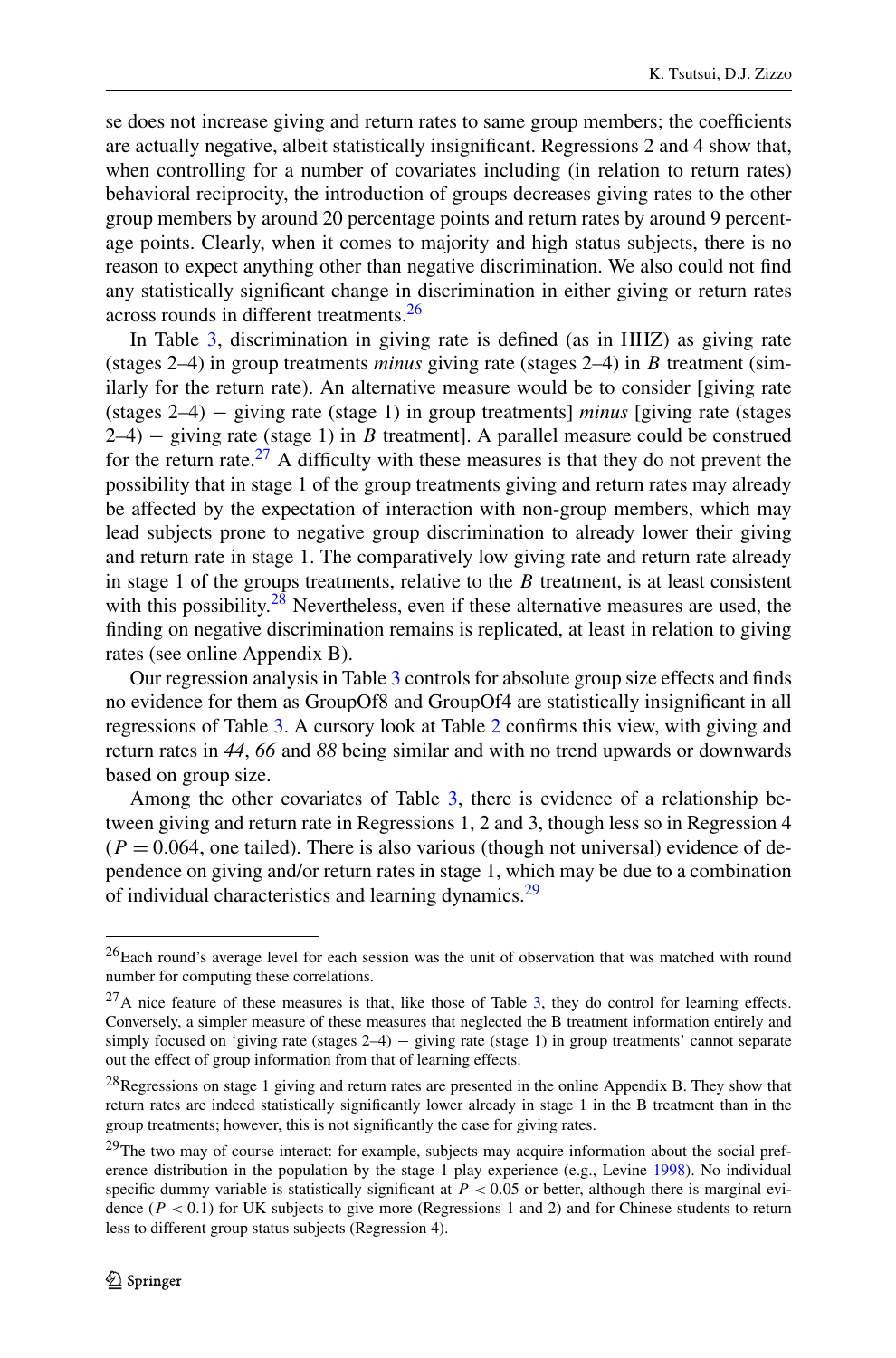se does not increase giving and return rates to same group members; the coefficients are actually negative, albeit statistically insignificant. Regressions 2 and 4 show that, when controlling for a number of covariates including (in relation to return rates) behavioral reciprocity, the introduction of groups decreases giving rates to the other group members by around 20 percentage points and return rates by around 9 percentage points. Clearly, when it comes to majority and high status subjects, there is no reason to expect anything other than negative discrimination. We also could not find any statistically significant change in discrimination in either giving or return rates across rounds in different treatments.<sup>[26](#page-13-0)</sup>

In Table [3,](#page-11-0) discrimination in giving rate is defined (as in HHZ) as giving rate (stages 2–4) in group treatments *minus* giving rate (stages 2–4) in *B* treatment (similarly for the return rate). An alternative measure would be to consider [giving rate (stages 2–4) − giving rate (stage 1) in group treatments] *minus* [giving rate (stages 2–4) − giving rate (stage 1) in *B* treatment]. A parallel measure could be construed for the return rate.<sup>27</sup> A difficulty with these measures is that they do not prevent the possibility that in stage 1 of the group treatments giving and return rates may already be affected by the expectation of interaction with non-group members, which may lead subjects prone to negative group discrimination to already lower their giving and return rate in stage 1. The comparatively low giving rate and return rate already in stage 1 of the groups treatments, relative to the *B* treatment, is at least consistent with this possibility. $28$  Nevertheless, even if these alternative measures are used, the finding on negative discrimination remains is replicated, at least in relation to giving rates (see online Appendix B).

Our regression analysis in Table [3](#page-11-0) controls for absolute group size effects and finds no evidence for them as GroupOf8 and GroupOf4 are statistically insignificant in all regressions of Table [3](#page-11-0). A cursory look at Table [2](#page-10-1) confirms this view, with giving and return rates in *44*, *66* and *88* being similar and with no trend upwards or downwards based on group size.

<span id="page-13-1"></span><span id="page-13-0"></span>Among the other covariates of Table [3,](#page-11-0) there is evidence of a relationship between giving and return rate in Regressions 1, 2 and 3, though less so in Regression 4  $(P = 0.064$ , one tailed). There is also various (though not universal) evidence of dependence on giving and/or return rates in stage 1, which may be due to a combination of individual characteristics and learning dynamics.<sup>29</sup>

<span id="page-13-3"></span><span id="page-13-2"></span><sup>26</sup>Each round's average level for each session was the unit of observation that was matched with round number for computing these correlations.

 $^{27}$ A nice feature of these measures is that, like those of Table [3,](#page-11-0) they do control for learning effects. Conversely, a simpler measure of these measures that neglected the B treatment information entirely and simply focused on 'giving rate (stages 2–4) – giving rate (stage 1) in group treatments' cannot separate out the effect of group information from that of learning effects.

<sup>&</sup>lt;sup>28</sup>Regressions on stage 1 giving and return rates are presented in the online Appendix B. They show that return rates are indeed statistically significantly lower already in stage 1 in the B treatment than in the group treatments; however, this is not significantly the case for giving rates.

<sup>&</sup>lt;sup>29</sup>The two may of course interact: for example, subjects may acquire information about the social preference distribution in the population by the stage 1 play experience (e.g., Levine [1998](#page-29-23)). No individual specific dummy variable is statistically significant at  $P < 0.05$  or better, although there is marginal evidence (*P <* 0*.*1) for UK subjects to give more (Regressions 1 and 2) and for Chinese students to return less to different group status subjects (Regression 4).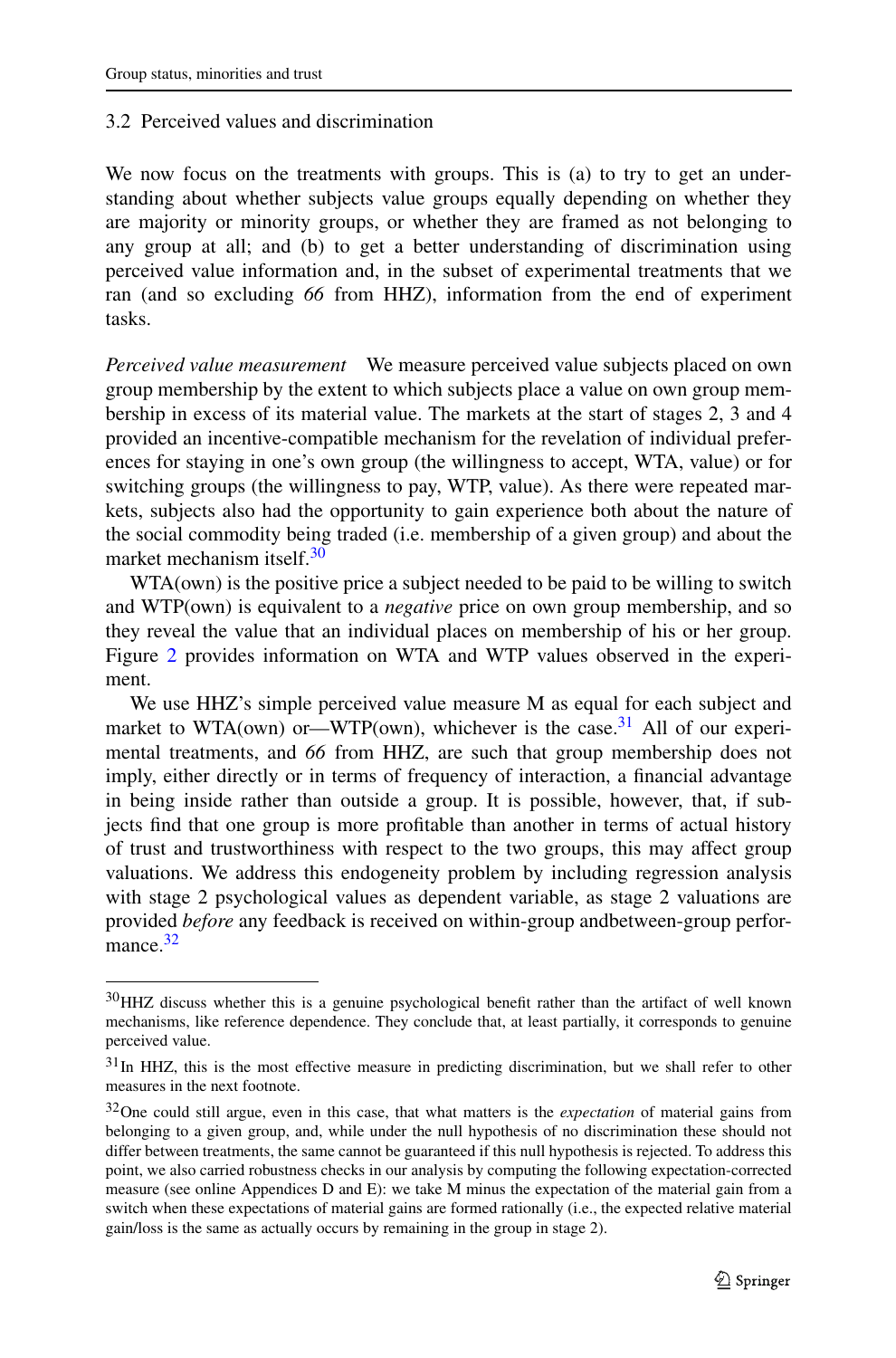# 3.2 Perceived values and discrimination

We now focus on the treatments with groups. This is (a) to try to get an understanding about whether subjects value groups equally depending on whether they are majority or minority groups, or whether they are framed as not belonging to any group at all; and (b) to get a better understanding of discrimination using perceived value information and, in the subset of experimental treatments that we ran (and so excluding *66* from HHZ), information from the end of experiment tasks.

*Perceived value measurement* We measure perceived value subjects placed on own group membership by the extent to which subjects place a value on own group membership in excess of its material value. The markets at the start of stages 2, 3 and 4 provided an incentive-compatible mechanism for the revelation of individual preferences for staying in one's own group (the willingness to accept, WTA, value) or for switching groups (the willingness to pay, WTP, value). As there were repeated markets, subjects also had the opportunity to gain experience both about the nature of the social commodity being traded (i.e. membership of a given group) and about the market mechanism itself.<sup>[30](#page-14-0)</sup>

WTA(own) is the positive price a subject needed to be paid to be willing to switch and WTP(own) is equivalent to a *negative* price on own group membership, and so they reveal the value that an individual places on membership of his or her group. Figure [2](#page-15-0) provides information on WTA and WTP values observed in the experiment.

<span id="page-14-0"></span>We use HHZ's simple perceived value measure M as equal for each subject and market to WTA(own) or—WTP(own), whichever is the case.<sup>31</sup> All of our experimental treatments, and *66* from HHZ, are such that group membership does not imply, either directly or in terms of frequency of interaction, a financial advantage in being inside rather than outside a group. It is possible, however, that, if subjects find that one group is more profitable than another in terms of actual history of trust and trustworthiness with respect to the two groups, this may affect group valuations. We address this endogeneity problem by including regression analysis with stage 2 psychological values as dependent variable, as stage 2 valuations are provided *before* any feedback is received on within-group andbetween-group performance.<sup>32</sup>

<span id="page-14-2"></span><span id="page-14-1"></span><sup>30</sup>HHZ discuss whether this is a genuine psychological benefit rather than the artifact of well known mechanisms, like reference dependence. They conclude that, at least partially, it corresponds to genuine perceived value.

<sup>&</sup>lt;sup>31</sup>In HHZ, this is the most effective measure in predicting discrimination, but we shall refer to other measures in the next footnote.

<sup>32</sup>One could still argue, even in this case, that what matters is the *expectation* of material gains from belonging to a given group, and, while under the null hypothesis of no discrimination these should not differ between treatments, the same cannot be guaranteed if this null hypothesis is rejected. To address this point, we also carried robustness checks in our analysis by computing the following expectation-corrected measure (see online Appendices D and E): we take M minus the expectation of the material gain from a switch when these expectations of material gains are formed rationally (i.e., the expected relative material gain/loss is the same as actually occurs by remaining in the group in stage 2).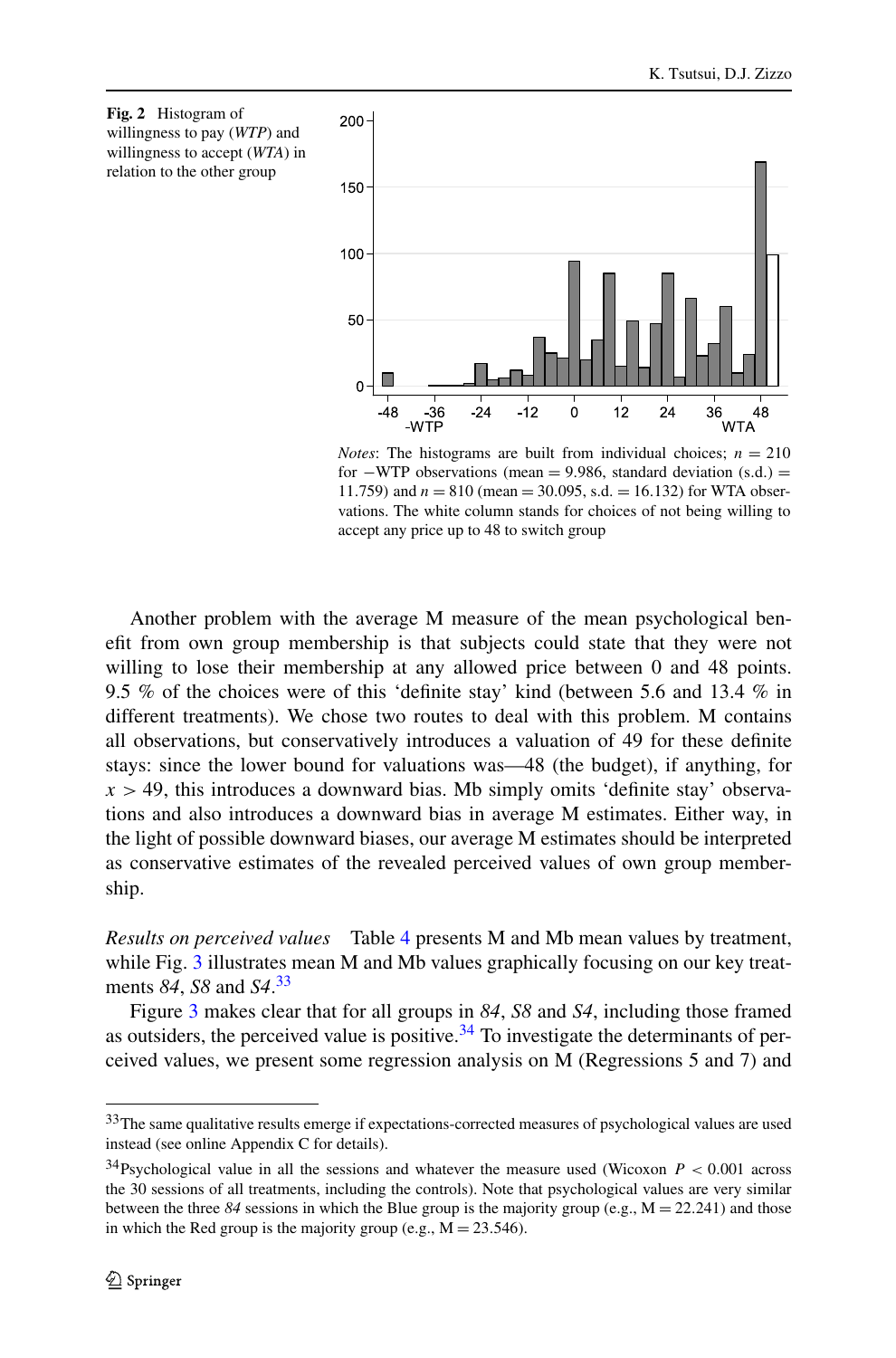<span id="page-15-0"></span>

*Notes*: The histograms are built from individual choices;  $n = 210$ for −WTP observations (mean = 9*.*986, standard deviation (s*.*d*.)* = 11.759) and  $n = 810$  (mean = 30.095, s.d. = 16.132) for WTA observations. The white column stands for choices of not being willing to accept any price up to 48 to switch group

Another problem with the average M measure of the mean psychological benefit from own group membership is that subjects could state that they were not willing to lose their membership at any allowed price between 0 and 48 points. 9.5 % of the choices were of this 'definite stay' kind (between 5.6 and 13.4 % in different treatments). We chose two routes to deal with this problem. M contains all observations, but conservatively introduces a valuation of 49 for these definite stays: since the lower bound for valuations was—48 (the budget), if anything, for  $x > 49$ , this introduces a downward bias. Mb simply omits 'definite stay' observations and also introduces a downward bias in average M estimates. Either way, in the light of possible downward biases, our average M estimates should be interpreted as conservative estimates of the revealed perceived values of own group membership.

<span id="page-15-1"></span>*Results on perceived values* Table [4](#page-16-0) presents M and Mb mean values by treatment, while Fig. [3](#page-17-0) illustrates mean M and Mb values graphically focusing on our key treatments *84*, *S8* and *S4*. [33](#page-15-1)

<span id="page-15-2"></span>Figure [3](#page-17-0) makes clear that for all groups in *84*, *S8* and *S4*, including those framed as outsiders, the perceived value is positive.<sup>34</sup> To investigate the determinants of perceived values, we present some regression analysis on M (Regressions 5 and 7) and

<sup>&</sup>lt;sup>33</sup>The same qualitative results emerge if expectations-corrected measures of psychological values are used instead (see online Appendix C for details).

<sup>&</sup>lt;sup>34</sup>Psychological value in all the sessions and whatever the measure used (Wicoxon  $P < 0.001$  across the 30 sessions of all treatments, including the controls). Note that psychological values are very similar between the three  $84$  sessions in which the Blue group is the majority group (e.g.,  $M = 22.241$ ) and those in which the Red group is the majority group (e.g.,  $M = 23.546$ ).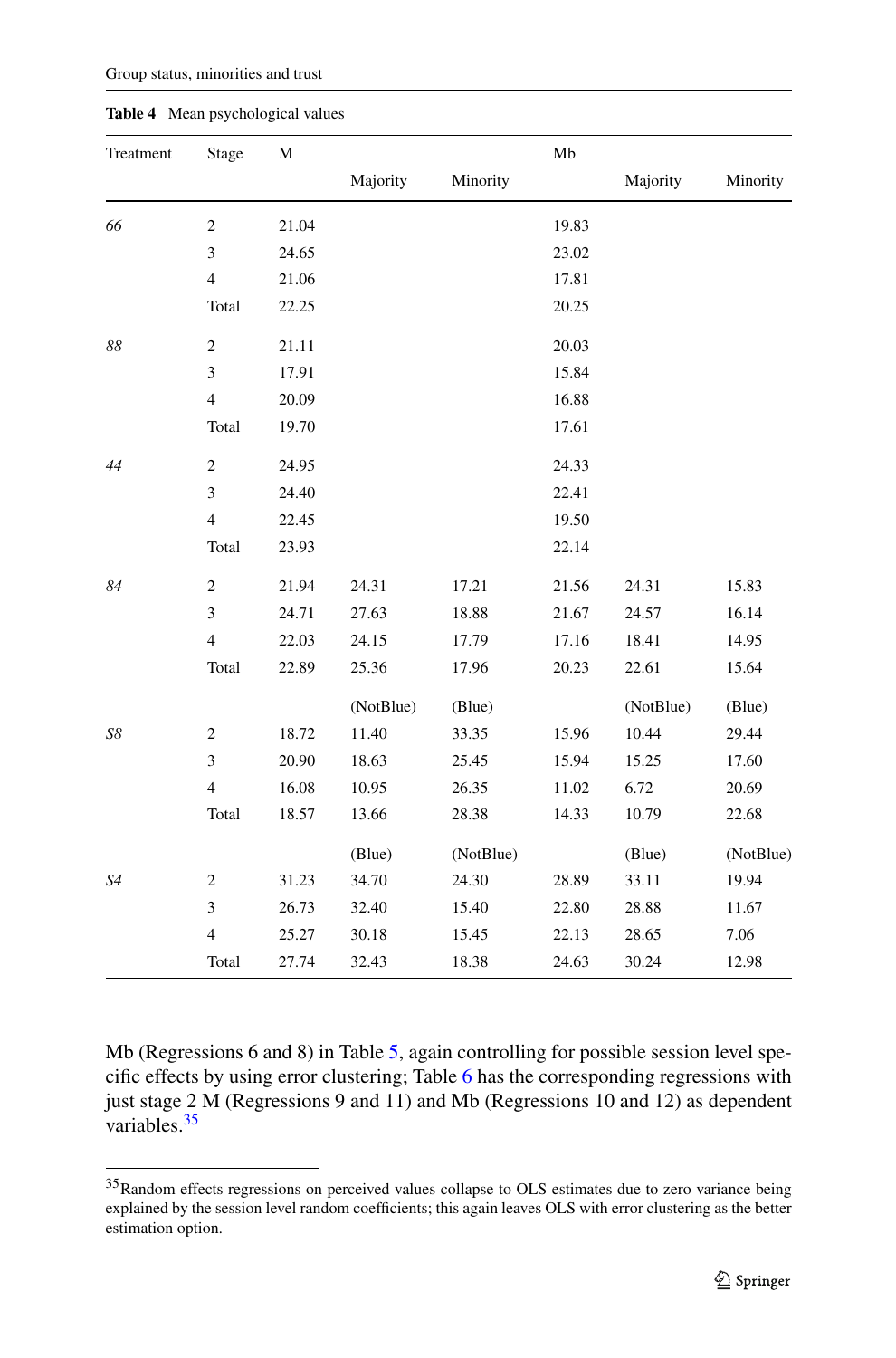<span id="page-16-0"></span>

| Treatment   | Stage                   | M     |           |           | Mb    |           |           |  |
|-------------|-------------------------|-------|-----------|-----------|-------|-----------|-----------|--|
|             |                         |       | Majority  | Minority  |       | Majority  | Minority  |  |
| 66          | $\overline{c}$          | 21.04 |           |           | 19.83 |           |           |  |
|             | 3                       | 24.65 |           |           | 23.02 |           |           |  |
|             | $\overline{4}$          | 21.06 |           |           | 17.81 |           |           |  |
|             | Total                   | 22.25 |           |           | 20.25 |           |           |  |
| $88\,$      | $\sqrt{2}$              | 21.11 |           |           | 20.03 |           |           |  |
|             | 3                       | 17.91 |           |           | 15.84 |           |           |  |
|             | $\overline{\mathbf{4}}$ | 20.09 |           |           | 16.88 |           |           |  |
|             | Total                   | 19.70 |           |           | 17.61 |           |           |  |
| 44          | $\sqrt{2}$              | 24.95 |           |           | 24.33 |           |           |  |
|             | 3                       | 24.40 |           |           | 22.41 |           |           |  |
|             | $\overline{4}$          | 22.45 |           |           | 19.50 |           |           |  |
|             | Total                   | 23.93 |           |           | 22.14 |           |           |  |
| 84          | $\mathfrak{2}$          | 21.94 | 24.31     | 17.21     | 21.56 | 24.31     | 15.83     |  |
|             | 3                       | 24.71 | 27.63     | 18.88     | 21.67 | 24.57     | 16.14     |  |
|             | $\overline{4}$          | 22.03 | 24.15     | 17.79     | 17.16 | 18.41     | 14.95     |  |
|             | Total                   | 22.89 | 25.36     | 17.96     | 20.23 | 22.61     | 15.64     |  |
|             |                         |       | (NotBlue) | (Blue)    |       | (NotBlue) | (Blue)    |  |
| ${\cal S}8$ | $\overline{c}$          | 18.72 | 11.40     | 33.35     | 15.96 | 10.44     | 29.44     |  |
|             | 3                       | 20.90 | 18.63     | 25.45     | 15.94 | 15.25     | $17.60\,$ |  |
|             | $\overline{4}$          | 16.08 | 10.95     | 26.35     | 11.02 | 6.72      | 20.69     |  |
|             | Total                   | 18.57 | 13.66     | 28.38     | 14.33 | 10.79     | 22.68     |  |
|             |                         |       | (Blue)    | (NotBlue) |       | (Blue)    | (NotBlue) |  |
| S4          | $\mathfrak{2}$          | 31.23 | 34.70     | 24.30     | 28.89 | 33.11     | 19.94     |  |
|             | 3                       | 26.73 | 32.40     | 15.40     | 22.80 | 28.88     | 11.67     |  |
|             | $\overline{\mathbf{4}}$ | 25.27 | 30.18     | 15.45     | 22.13 | 28.65     | 7.06      |  |
|             | Total                   | 27.74 | 32.43     | 18.38     | 24.63 | 30.24     | 12.98     |  |

**Table 4** Mean psychological values

<span id="page-16-1"></span>Mb (Regressions 6 and 8) in Table [5,](#page-18-0) again controlling for possible session level specific effects by using error clustering; Table [6](#page-19-0) has the corresponding regressions with just stage 2 M (Regressions 9 and 11) and Mb (Regressions 10 and 12) as dependent variables. $35$ 

<sup>&</sup>lt;sup>35</sup>Random effects regressions on perceived values collapse to OLS estimates due to zero variance being explained by the session level random coefficients; this again leaves OLS with error clustering as the better estimation option.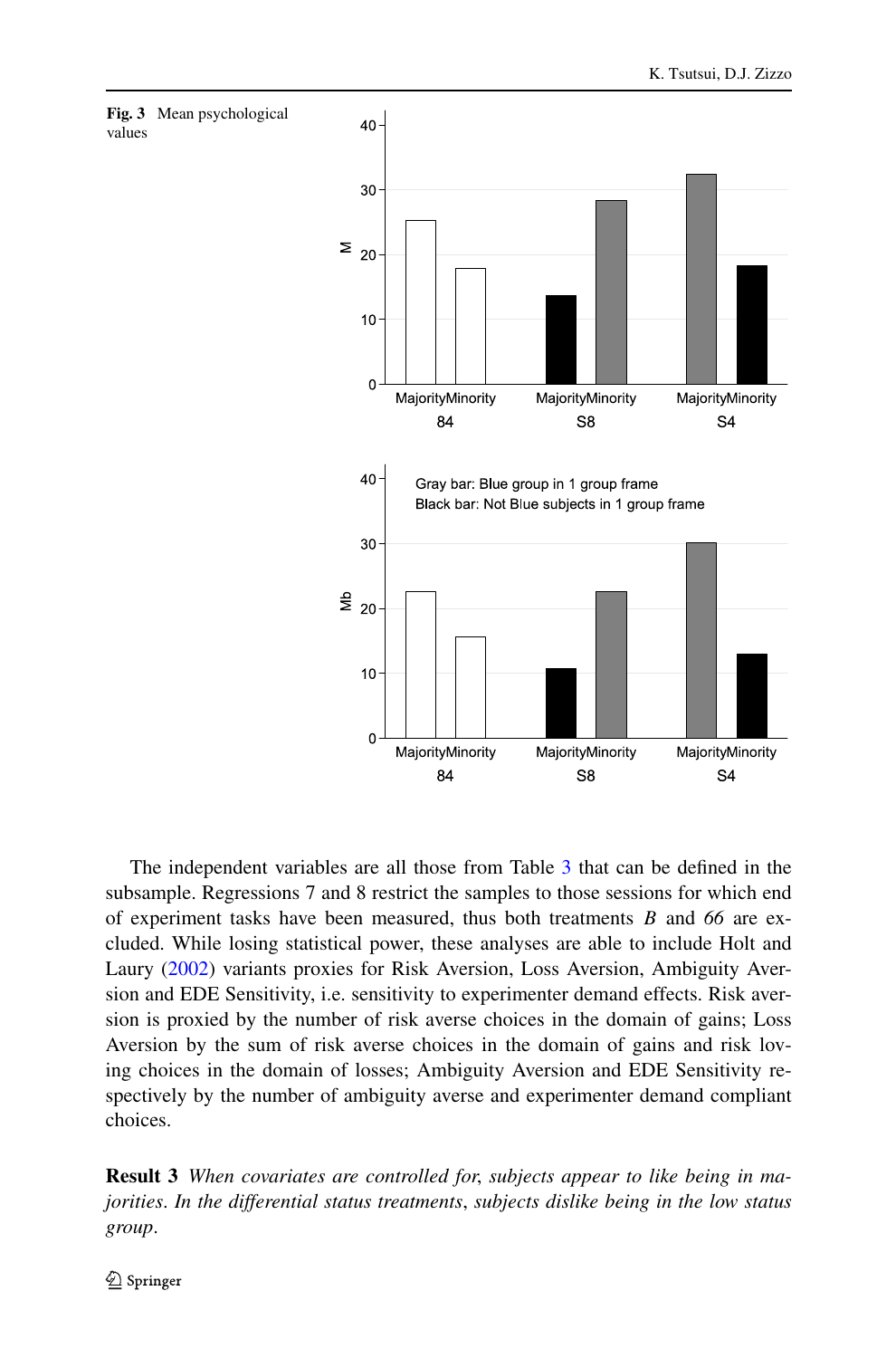<span id="page-17-0"></span>

<span id="page-17-1"></span>The independent variables are all those from Table [3](#page-11-0) that can be defined in the subsample. Regressions 7 and 8 restrict the samples to those sessions for which end of experiment tasks have been measured, thus both treatments *B* and *66* are excluded. While losing statistical power, these analyses are able to include Holt and Laury [\(2002](#page-29-20)) variants proxies for Risk Aversion, Loss Aversion, Ambiguity Aversion and EDE Sensitivity, i.e. sensitivity to experimenter demand effects. Risk aversion is proxied by the number of risk averse choices in the domain of gains; Loss Aversion by the sum of risk averse choices in the domain of gains and risk loving choices in the domain of losses; Ambiguity Aversion and EDE Sensitivity respectively by the number of ambiguity averse and experimenter demand compliant choices.

**Result 3** *When covariates are controlled for*, *subjects appear to like being in majorities*. *In the differential status treatments*, *subjects dislike being in the low status group*.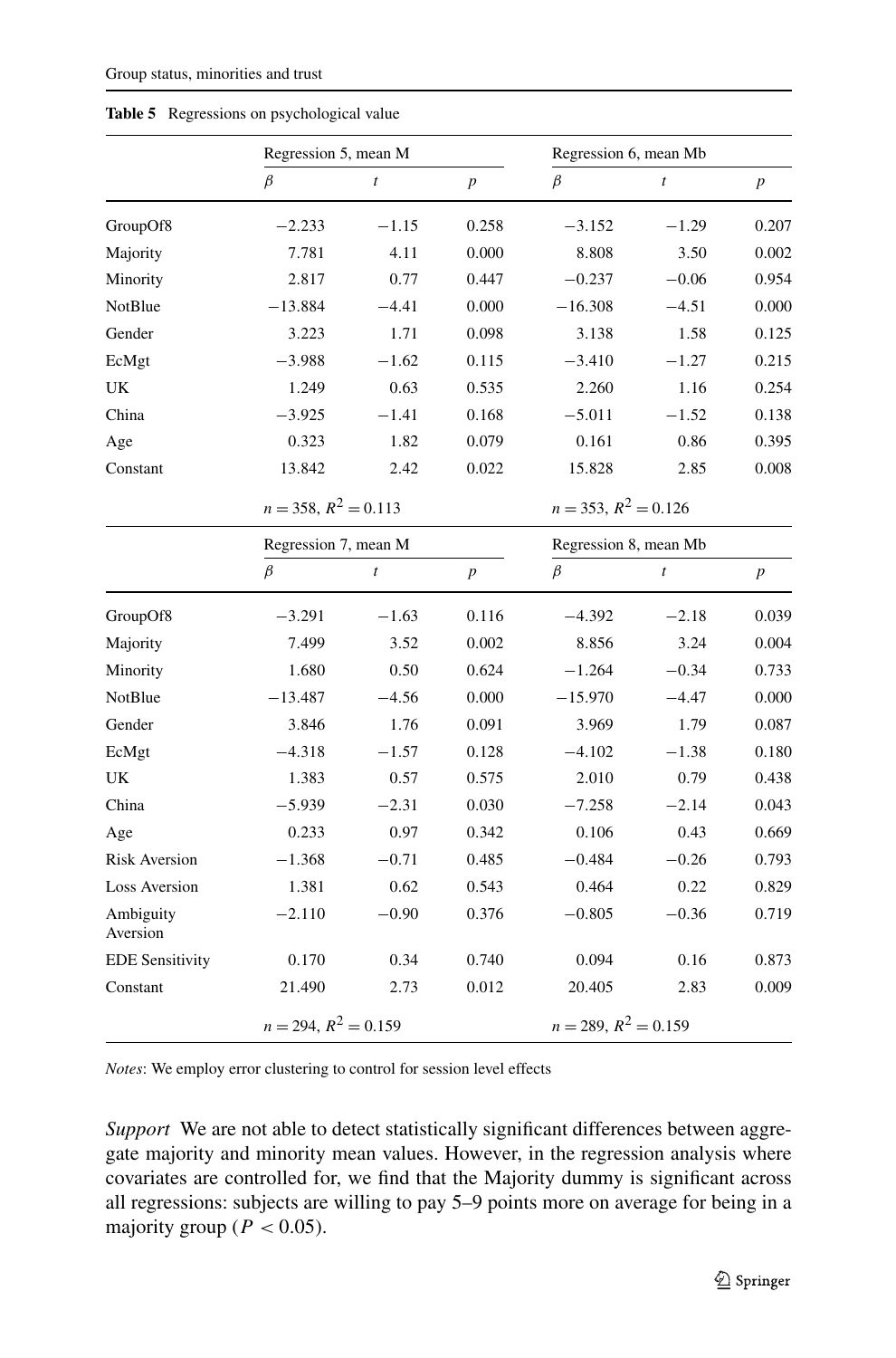|                        |                           | Regression 5, mean M |                  |                           | Regression 6, mean Mb |                  |  |  |
|------------------------|---------------------------|----------------------|------------------|---------------------------|-----------------------|------------------|--|--|
|                        | $\beta$                   | $\boldsymbol{t}$     | $\boldsymbol{p}$ | $\beta$                   | $\boldsymbol{t}$      | $\boldsymbol{p}$ |  |  |
| GroupOf8               | $-2.233$                  | $-1.15$              | 0.258            | $-3.152$                  | $-1.29$               | 0.207            |  |  |
| Majority               | 7.781                     | 4.11                 | 0.000            | 8.808                     | 3.50                  | 0.002            |  |  |
| Minority               | 2.817                     | 0.77                 | 0.447            | $-0.237$                  | $-0.06$               | 0.954            |  |  |
| NotBlue                | $-13.884$                 | $-4.41$              | 0.000            | $-16.308$                 | $-4.51$               | 0.000            |  |  |
| Gender                 | 3.223                     | 1.71                 | 0.098            | 3.138                     | 1.58                  | 0.125            |  |  |
| EcMgt                  | $-3.988$                  | $-1.62$              | 0.115            | $-3.410$                  | $-1.27$               | 0.215            |  |  |
| UK                     | 1.249                     | 0.63                 | 0.535            | 2.260                     | 1.16                  | 0.254            |  |  |
| China                  | $-3.925$                  | $-1.41$              | 0.168            | $-5.011$                  | $-1.52$               | 0.138            |  |  |
| Age                    | 0.323                     | 1.82                 | 0.079            | 0.161                     | 0.86                  | 0.395            |  |  |
| Constant               | 13.842                    | 2.42                 | 0.022            | 15.828                    | 2.85                  | 0.008            |  |  |
|                        | $n = 358$ , $R^2 = 0.113$ |                      |                  | $n = 353$ , $R^2 = 0.126$ |                       |                  |  |  |
|                        | Regression 7, mean M      |                      |                  | Regression 8, mean Mb     |                       |                  |  |  |
|                        | $\beta$                   | $\boldsymbol{t}$     | $\boldsymbol{p}$ | $\beta$                   | $\boldsymbol{t}$      | $\boldsymbol{p}$ |  |  |
| GroupOf8               | $-3.291$                  | $-1.63$              | 0.116            | $-4.392$                  | $-2.18$               | 0.039            |  |  |
| Majority               | 7.499                     | 3.52                 | 0.002            | 8.856                     | 3.24                  | 0.004            |  |  |
| Minority               | 1.680                     | 0.50                 | 0.624            | $-1.264$                  | $-0.34$               | 0.733            |  |  |
| NotBlue                | $-13.487$                 | $-4.56$              | 0.000            | $-15.970$                 | $-4.47$               | 0.000            |  |  |
| Gender                 | 3.846                     | 1.76                 | 0.091            | 3.969                     | 1.79                  | 0.087            |  |  |
| EcMgt                  | $-4.318$                  | $-1.57$              | 0.128            | $-4.102$                  | $-1.38$               | 0.180            |  |  |
| UK                     | 1.383                     | 0.57                 | 0.575            | 2.010                     | 0.79                  | 0.438            |  |  |
| China                  | $-5.939$                  | $-2.31$              | 0.030            | $-7.258$                  | $-2.14$               | 0.043            |  |  |
| Age                    | 0.233                     | 0.97                 | 0.342            | 0.106                     | 0.43                  | 0.669            |  |  |
| <b>Risk Aversion</b>   | $-1.368$                  | $-0.71$              | 0.485            | $-0.484$                  | $-0.26$               | 0.793            |  |  |
| <b>Loss Aversion</b>   | 1.381                     | 0.62                 | 0.543            | 0.464                     | 0.22                  | 0.829            |  |  |
| Ambiguity<br>Aversion  | $-2.110$                  | $-0.90$              | 0.376            | $-0.805$                  | $-0.36$               | 0.719            |  |  |
| <b>EDE Sensitivity</b> | 0.170                     | 0.34                 | 0.740            | 0.094                     | 0.16                  | 0.873            |  |  |
| Constant               | 21.490                    | 2.73                 | 0.012            | 20.405                    | 2.83                  | 0.009            |  |  |
|                        | $n = 294, R^2 = 0.159$    |                      |                  | $n = 289, R^2 = 0.159$    |                       |                  |  |  |

<span id="page-18-0"></span>**Table 5** Regressions on psychological value

*Notes*: We employ error clustering to control for session level effects

*Support* We are not able to detect statistically significant differences between aggregate majority and minority mean values. However, in the regression analysis where covariates are controlled for, we find that the Majority dummy is significant across all regressions: subjects are willing to pay 5–9 points more on average for being in a majority group ( $P < 0.05$ ).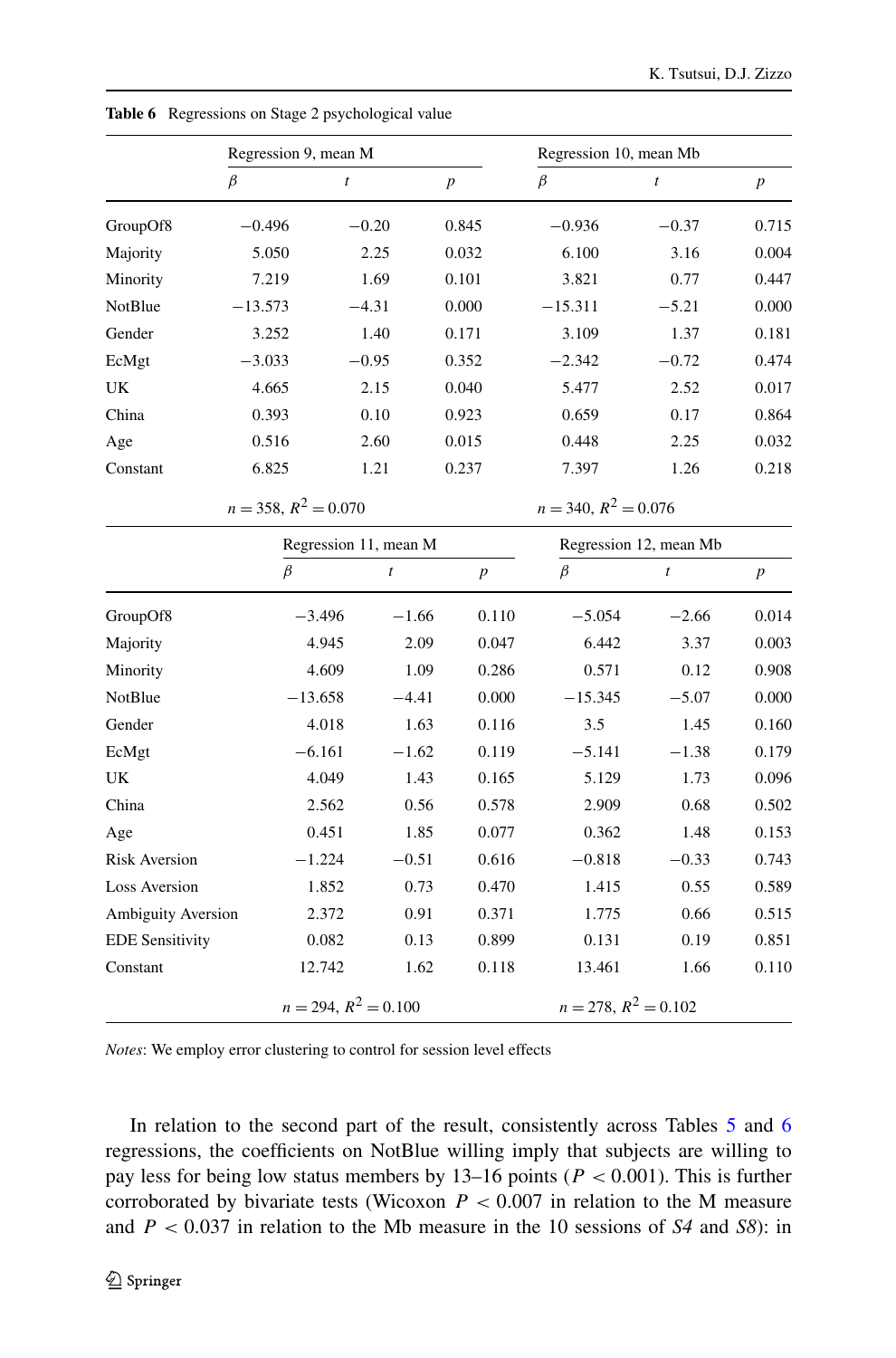|                        | Regression 9, mean M      |                        |                  | Regression 10, mean Mb    |                        |                  |
|------------------------|---------------------------|------------------------|------------------|---------------------------|------------------------|------------------|
|                        | $\beta$                   | $\boldsymbol{t}$       | $\boldsymbol{p}$ | $\beta$                   | $\mathfrak{t}$         | $\boldsymbol{p}$ |
| GroupOf8               | $-0.496$                  | $-0.20$                | 0.845            | $-0.936$                  | $-0.37$                | 0.715            |
| Majority               | 5.050                     | 2.25                   | 0.032            | 6.100                     | 3.16                   | 0.004            |
| Minority               | 7.219                     | 1.69                   | 0.101            | 3.821                     | 0.77                   | 0.447            |
| <b>NotBlue</b>         | $-13.573$                 | $-4.31$                | 0.000            | $-15.311$                 | $-5.21$                | 0.000            |
| Gender                 | 3.252                     | 1.40                   | 0.171            | 3.109                     | 1.37                   | 0.181            |
| EcMgt                  | $-3.033$                  | $-0.95$                | 0.352            | $-2.342$                  | $-0.72$                | 0.474            |
| UK                     | 4.665                     | 2.15                   | 0.040            | 5.477                     | 2.52                   | 0.017            |
| China                  | 0.393                     | 0.10                   | 0.923            | 0.659                     | 0.17                   | 0.864            |
| Age                    | 0.516                     | 2.60                   | 0.015            | 0.448                     | 2.25                   | 0.032            |
| Constant               | 6.825                     | 1.21                   | 0.237            | 7.397                     | 1.26                   | 0.218            |
|                        | $n = 358$ , $R^2 = 0.070$ |                        |                  | $n = 340, R^2 = 0.076$    |                        |                  |
|                        |                           | Regression 11, mean M  |                  |                           | Regression 12, mean Mb |                  |
|                        | $\beta$                   | $\mathfrak{t}$         | $\boldsymbol{p}$ | $\beta$                   | $\mathfrak{t}$         | $\boldsymbol{p}$ |
| GroupOf8               | $-3.496$                  | $-1.66$                | 0.110            | $-5.054$                  | $-2.66$                | 0.014            |
| Majority               | 4.945                     | 2.09                   | 0.047            | 6.442                     | 3.37                   | 0.003            |
| Minority               | 4.609                     | 1.09                   | 0.286            | 0.571                     | 0.12                   | 0.908            |
| NotBlue                | $-13.658$                 | $-4.41$                | 0.000            | $-15.345$                 | $-5.07$                | 0.000            |
| Gender                 | 4.018                     | 1.63                   | 0.116            | 3.5                       | 1.45                   | 0.160            |
| EcMgt                  | $-6.161$                  | $-1.62$                | 0.119            | $-5.141$                  | $-1.38$                | 0.179            |
| UK                     | 4.049                     | 1.43                   | 0.165            | 5.129                     | 1.73                   | 0.096            |
| China                  | 2.562                     | 0.56                   | 0.578            | 2.909                     | 0.68                   | 0.502            |
| Age                    | 0.451                     | 1.85                   | 0.077            | 0.362                     | 1.48                   | 0.153            |
| <b>Risk Aversion</b>   | $-1.224$                  | $-0.51$                | 0.616            | $-0.818$                  | $-0.33$                | 0.743            |
| <b>Loss Aversion</b>   | 1.852                     | 0.73                   | 0.470            | 1.415                     | 0.55                   | 0.589            |
| Ambiguity Aversion     | 2.372                     | 0.91                   | 0.371            | 1.775                     | 0.66                   | 0.515            |
| <b>EDE Sensitivity</b> | 0.082                     | 0.13                   | 0.899            | 0.131                     | 0.19                   | 0.851            |
| Constant               | 12.742                    | 1.62                   | 0.118            | 13.461                    | 1.66                   | 0.110            |
|                        |                           | $n = 294, R^2 = 0.100$ |                  | $n = 278$ , $R^2 = 0.102$ |                        |                  |

<span id="page-19-0"></span>**Table 6** Regressions on Stage 2 psychological value

*Notes*: We employ error clustering to control for session level effects

In relation to the second part of the result, consistently across Tables [5](#page-18-0) and [6](#page-19-0) regressions, the coefficients on NotBlue willing imply that subjects are willing to pay less for being low status members by 13–16 points (*P <* 0*.*001). This is further corroborated by bivariate tests (Wicoxon  $P < 0.007$  in relation to the M measure and *P <* 0*.*037 in relation to the Mb measure in the 10 sessions of *S4* and *S8*): in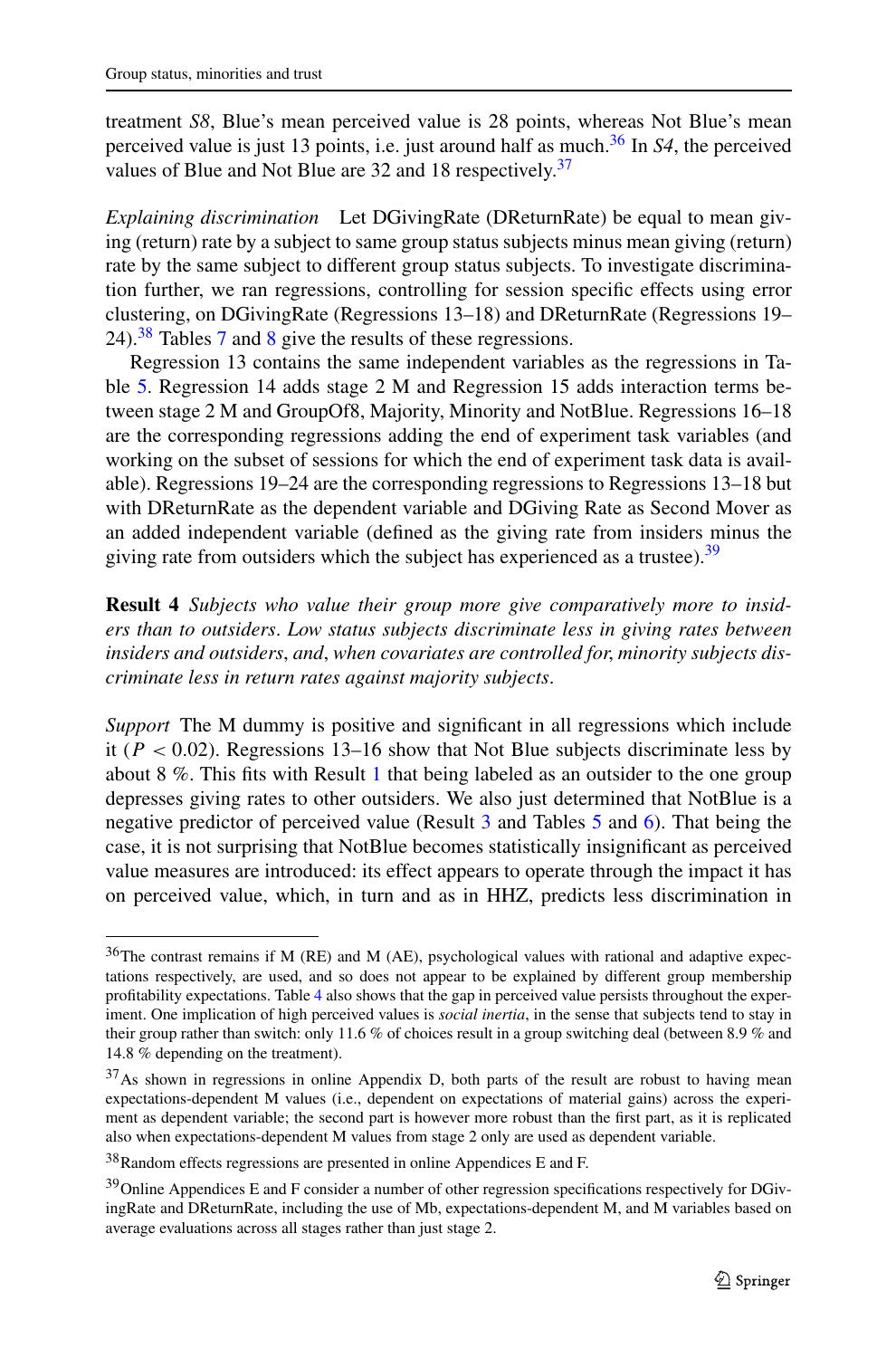treatment *S8*, Blue's mean perceived value is 28 points, whereas Not Blue's mean perceived value is just 13 points, i.e. just around half as much.[36](#page-20-0) In *S4*, the perceived values of Blue and Not Blue are 32 and 18 respectively.<sup>37</sup>

*Explaining discrimination* Let DGivingRate (DReturnRate) be equal to mean giving (return) rate by a subject to same group status subjects minus mean giving (return) rate by the same subject to different group status subjects. To investigate discrimination further, we ran regressions, controlling for session specific effects using error clustering, on DGivingRate (Regressions 13–18) and DReturnRate (Regressions 19– 24). $38$  Tables [7](#page-21-0) and [8](#page-22-0) give the results of these regressions.

<span id="page-20-4"></span>Regression 13 contains the same independent variables as the regressions in Table [5](#page-18-0). Regression 14 adds stage 2 M and Regression 15 adds interaction terms between stage 2 M and GroupOf8, Majority, Minority and NotBlue. Regressions 16–18 are the corresponding regressions adding the end of experiment task variables (and working on the subset of sessions for which the end of experiment task data is available). Regressions 19–24 are the corresponding regressions to Regressions 13–18 but with DReturnRate as the dependent variable and DGiving Rate as Second Mover as an added independent variable (defined as the giving rate from insiders minus the giving rate from outsiders which the subject has experienced as a trustee). $39$ 

**Result 4** *Subjects who value their group more give comparatively more to insiders than to outsiders*. *Low status subjects discriminate less in giving rates between insiders and outsiders*, *and*, *when covariates are controlled for*, *minority subjects discriminate less in return rates against majority subjects*.

<span id="page-20-0"></span>*Support* The M dummy is positive and significant in all regressions which include it (*P <* 0*.*02). Regressions 13–16 show that Not Blue subjects discriminate less by about 8 %. This fits with Result [1](#page-12-3) that being labeled as an outsider to the one group depresses giving rates to other outsiders. We also just determined that NotBlue is a negative predictor of perceived value (Result [3](#page-17-1) and Tables [5](#page-18-0) and [6\)](#page-19-0). That being the case, it is not surprising that NotBlue becomes statistically insignificant as perceived value measures are introduced: its effect appears to operate through the impact it has on perceived value, which, in turn and as in HHZ, predicts less discrimination in

<span id="page-20-3"></span><span id="page-20-2"></span><span id="page-20-1"></span><sup>&</sup>lt;sup>36</sup>The contrast remains if M (RE) and M (AE), psychological values with rational and adaptive expectations respectively, are used, and so does not appear to be explained by different group membership profitability expectations. Table [4](#page-16-0) also shows that the gap in perceived value persists throughout the experiment. One implication of high perceived values is *social inertia*, in the sense that subjects tend to stay in their group rather than switch: only 11.6 % of choices result in a group switching deal (between 8.9 % and 14.8 % depending on the treatment).

<sup>&</sup>lt;sup>37</sup>As shown in regressions in online Appendix D, both parts of the result are robust to having mean expectations-dependent M values (i.e., dependent on expectations of material gains) across the experiment as dependent variable; the second part is however more robust than the first part, as it is replicated also when expectations-dependent M values from stage 2 only are used as dependent variable.

<sup>38</sup>Random effects regressions are presented in online Appendices E and F.

<sup>&</sup>lt;sup>39</sup>Online Appendices E and F consider a number of other regression specifications respectively for DGivingRate and DReturnRate, including the use of Mb, expectations-dependent M, and M variables based on average evaluations across all stages rather than just stage 2.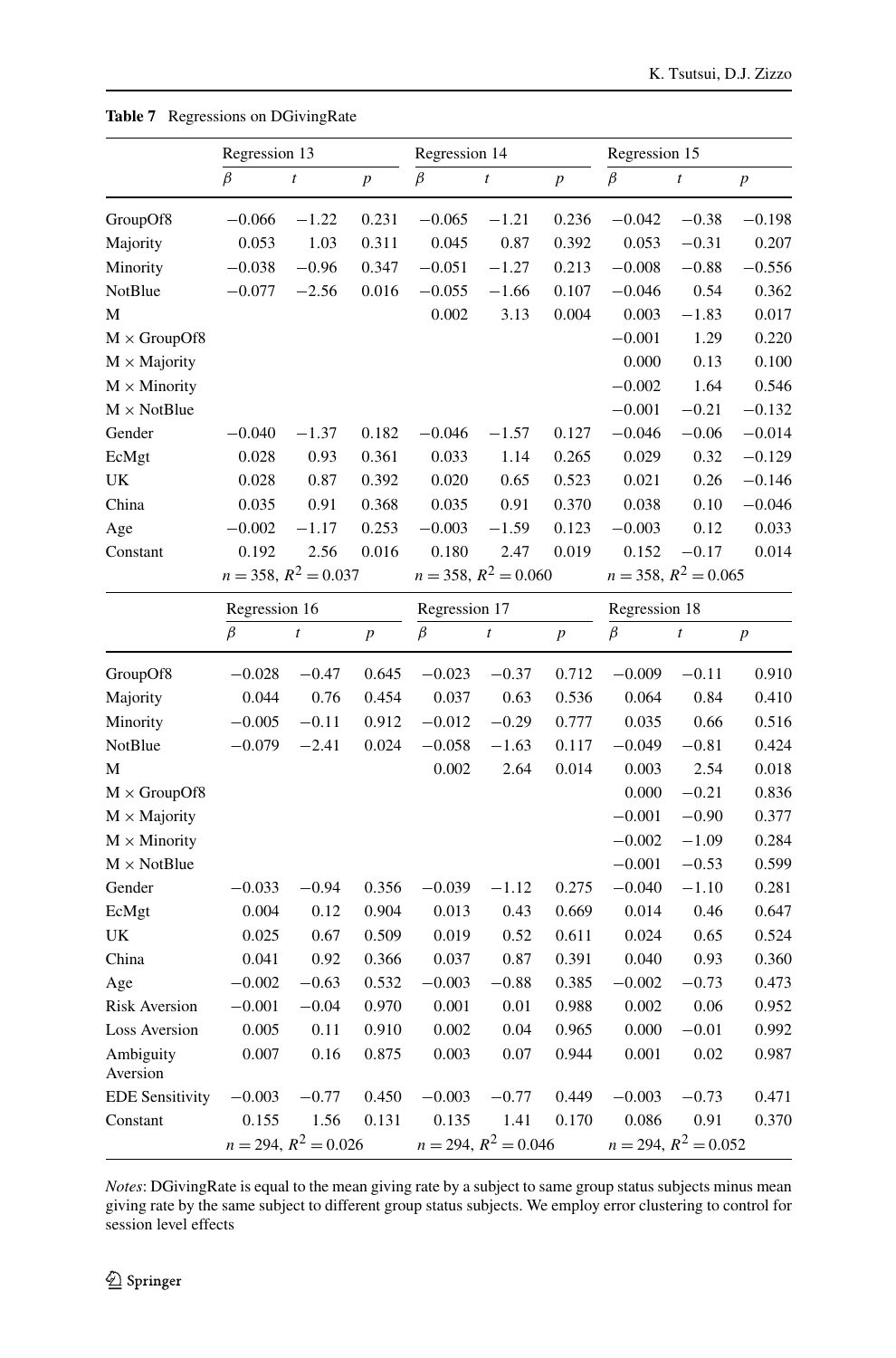|                        | Regression 13      |                           |                  | Regression 14      |                           |                  | Regression 15 |                           |                  |
|------------------------|--------------------|---------------------------|------------------|--------------------|---------------------------|------------------|---------------|---------------------------|------------------|
|                        | $\beta$            | $\boldsymbol{t}$          | $\overline{p}$   | $\beta$            | $\boldsymbol{t}$          | $\boldsymbol{p}$ | $\beta$       | $\boldsymbol{t}$          | $\boldsymbol{p}$ |
| GroupOf8               | $-0.066$           | $-1.22$                   | 0.231            | $-0.065$           | $-1.21$                   | 0.236            | $-0.042$      | $-0.38$                   | $-0.198$         |
| Majority               | 0.053              | 1.03                      | 0.311            | 0.045              | 0.87                      | 0.392            | 0.053         | $-0.31$                   | 0.207            |
| Minority               | $-0.038$           | $-0.96$                   | 0.347            | $-0.051$           | $-1.27$                   | 0.213            | $-0.008$      | $-0.88$                   | $-0.556$         |
| <b>NotBlue</b>         | $-0.077$           | $-2.56$                   | 0.016            | $-0.055$           | $-1.66$                   | 0.107            | $-0.046$      | 0.54                      | 0.362            |
| M                      |                    |                           |                  | 0.002              | 3.13                      | 0.004            | 0.003         | $-1.83$                   | 0.017            |
| $M \times$ GroupOf8    |                    |                           |                  |                    |                           |                  | $-0.001$      | 1.29                      | 0.220            |
| $M \times$ Majority    |                    |                           |                  |                    |                           |                  | 0.000         | 0.13                      | 0.100            |
| $M \times$ Minority    |                    |                           |                  |                    |                           |                  | $-0.002$      | 1.64                      | 0.546            |
| $M \times$ NotBlue     |                    |                           |                  |                    |                           |                  | $-0.001$      | $-0.21$                   | $-0.132$         |
| Gender                 | $-0.040$           | $-1.37$                   | 0.182            | $-0.046$           | $-1.57$                   | 0.127            | $-0.046$      | $-0.06$                   | $-0.014$         |
| EcMgt                  | 0.028              | 0.93                      | 0.361            | 0.033              | 1.14                      | 0.265            | 0.029         | 0.32                      | $-0.129$         |
| UK                     | 0.028              | 0.87                      | 0.392            | 0.020              | 0.65                      | 0.523            | 0.021         | 0.26                      | $-0.146$         |
| China                  | 0.035              | 0.91                      | 0.368            | 0.035              | 0.91                      | 0.370            | 0.038         | 0.10                      | $-0.046$         |
| Age                    | $-0.002$           | $-1.17$                   | 0.253            | $-0.003$           | $-1.59$                   | 0.123            | $-0.003$      | 0.12                      | 0.033            |
| Constant               | 0.192              | 2.56                      | 0.016            | 0.180              | 2.47                      | 0.019            | 0.152         | $-0.17$                   | 0.014            |
|                        |                    | $n = 358$ , $R^2 = 0.037$ |                  |                    | $n = 358$ , $R^2 = 0.060$ |                  |               | $n = 358$ , $R^2 = 0.065$ |                  |
|                        | Regression 16      |                           |                  | Regression 17      |                           | Regression 18    |               |                           |                  |
|                        | $\overline{\beta}$ | $\boldsymbol{t}$          | $\boldsymbol{p}$ | $\overline{\beta}$ | $\boldsymbol{t}$          | $\boldsymbol{p}$ | $\beta$       | $\boldsymbol{t}$          | $\boldsymbol{p}$ |
| GroupOf8               | $-0.028$           | $-0.47$                   | 0.645            | $-0.023$           | $-0.37$                   | 0.712            | $-0.009$      | $-0.11$                   | 0.910            |
| Majority               | 0.044              | 0.76                      | 0.454            | 0.037              | 0.63                      | 0.536            | 0.064         | 0.84                      | 0.410            |
| Minority               | $-0.005$           | $-0.11$                   | 0.912            | $-0.012$           | $-0.29$                   | 0.777            | 0.035         | 0.66                      | 0.516            |
| NotBlue                | $-0.079$           | $-2.41$                   | 0.024            | $-0.058$           | $-1.63$                   | 0.117            | $-0.049$      | $-0.81$                   | 0.424            |
| M                      |                    |                           |                  | 0.002              | 2.64                      | 0.014            | 0.003         | 2.54                      | 0.018            |
| $M \times$ GroupOf8    |                    |                           |                  |                    |                           |                  | 0.000         | $-0.21$                   | 0.836            |
| $M \times$ Majority    |                    |                           |                  |                    |                           |                  | $-0.001$      | $-0.90$                   | 0.377            |
| $M \times$ Minority    |                    |                           |                  |                    |                           |                  | $-0.002$      | $-1.09$                   | 0.284            |
| $M \times$ NotBlue     |                    |                           |                  |                    |                           |                  | $-0.001$      | $-0.53$                   | 0.599            |
| Gender                 | $-0.033$           | $-0.94$                   | 0.356            | $-0.039$           | $-1.12$                   | 0.275            | $-0.040$      | $-1.10$                   | 0.281            |
| EcMgt                  | 0.004              | 0.12                      | 0.904            | 0.013              | 0.43                      | 0.669            | 0.014         | 0.46                      | 0.647            |
| UK                     | 0.025              | 0.67                      | 0.509            | 0.019              | 0.52                      | 0.611            | 0.024         | 0.65                      | 0.524            |
| China                  | 0.041              | 0.92                      | 0.366            | 0.037              | 0.87                      | 0.391            | 0.040         | 0.93                      | 0.360            |
| Age                    | $-0.002$           | $-0.63$                   | 0.532            | $-0.003$           | $-0.88$                   | 0.385            | $-0.002$      | $-0.73$                   | 0.473            |
| <b>Risk Aversion</b>   | $-0.001$           | $-0.04$                   | 0.970            | 0.001              | 0.01                      | 0.988            | 0.002         | 0.06                      | 0.952            |
| <b>Loss Aversion</b>   | 0.005              | 0.11                      | 0.910            | 0.002              | 0.04                      | 0.965            | 0.000         | $-0.01$                   | 0.992            |
| Ambiguity<br>Aversion  | 0.007              | 0.16                      | 0.875            | 0.003              | 0.07                      | 0.944            | 0.001         | 0.02                      | 0.987            |
| <b>EDE Sensitivity</b> | $-0.003$           | $-0.77$                   | 0.450            | $-0.003$           | $-0.77$                   | 0.449            | $-0.003$      | $-0.73$                   | 0.471            |
| Constant               | 0.155              | 1.56                      | 0.131            | 0.135              | 1.41                      | 0.170            | 0.086         | 0.91                      | 0.370            |
|                        |                    | $n = 294, R^2 = 0.026$    |                  |                    | $n = 294, R^2 = 0.046$    |                  |               | $n = 294, R^2 = 0.052$    |                  |

<span id="page-21-0"></span>**Table 7** Regressions on DGivingRate

*Notes*: DGivingRate is equal to the mean giving rate by a subject to same group status subjects minus mean giving rate by the same subject to different group status subjects. We employ error clustering to control for session level effects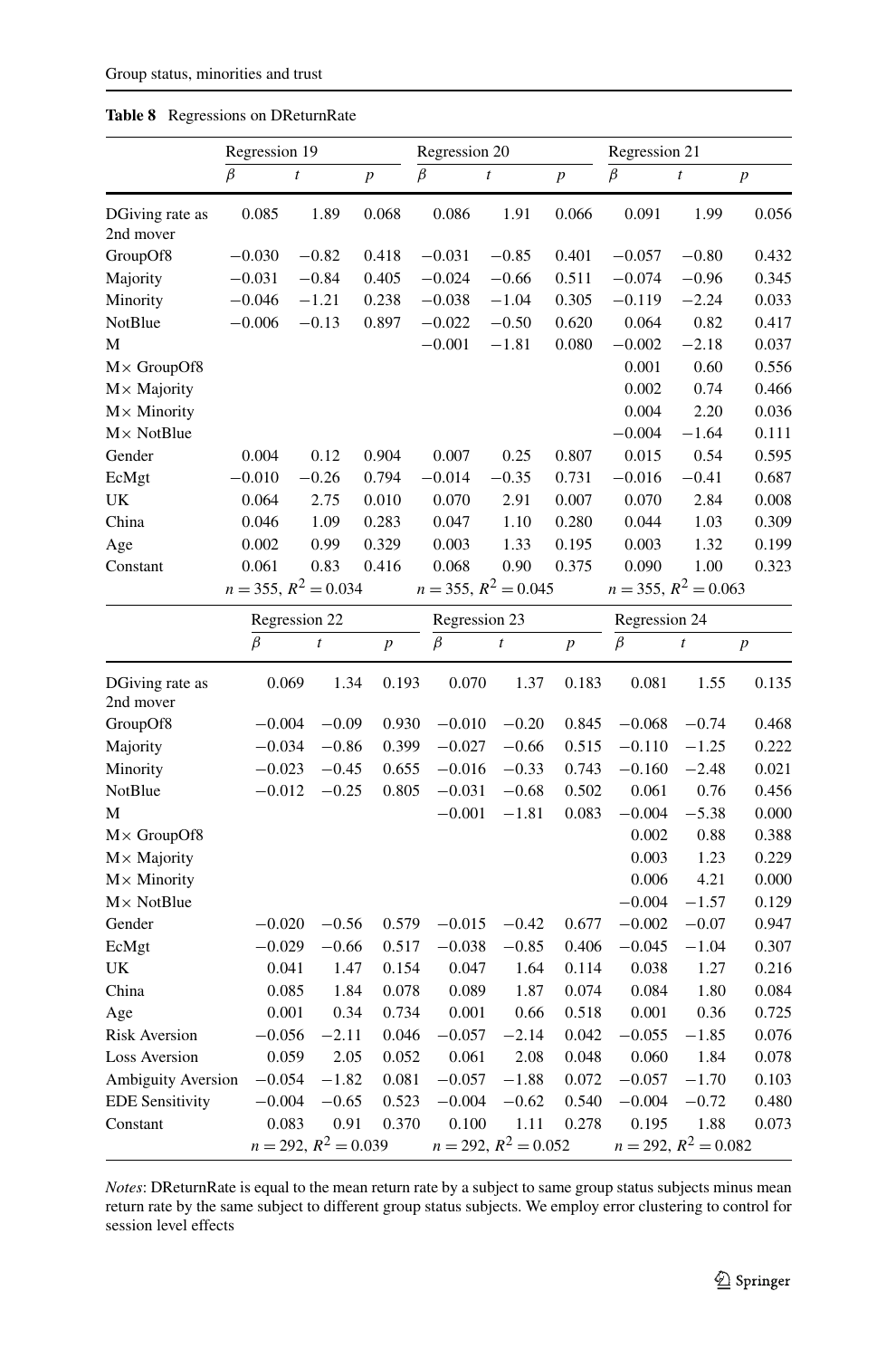|                              | Regression 19 |                           |                | Regression 20 |                           |                | Regression 21             |                        |                  |
|------------------------------|---------------|---------------------------|----------------|---------------|---------------------------|----------------|---------------------------|------------------------|------------------|
|                              | $\beta$       | $\boldsymbol{t}$          | $\overline{p}$ | $\beta$       | $\bar{t}$                 | $\overline{p}$ | $\beta$                   | $\bar{t}$              | $\boldsymbol{p}$ |
| DGiving rate as<br>2nd mover | 0.085         | 1.89                      | 0.068          | 0.086         | 1.91                      | 0.066          | 0.091                     | 1.99                   | 0.056            |
| GroupOf8                     | $-0.030$      | $-0.82$                   | 0.418          | $-0.031$      | $-0.85$                   | 0.401          | $-0.057$                  | $-0.80$                | 0.432            |
| Majority                     | $-0.031$      | $-0.84$                   | 0.405          | $-0.024$      | $-0.66$                   | 0.511          | $-0.074$                  | $-0.96$                | 0.345            |
| Minority                     | $-0.046$      | $-1.21$                   | 0.238          | $-0.038$      | $-1.04$                   | 0.305          | $-0.119$                  | $-2.24$                | 0.033            |
| NotBlue                      | $-0.006$      | $-0.13$                   | 0.897          | $-0.022$      | $-0.50$                   | 0.620          | 0.064                     | 0.82                   | 0.417            |
| M                            |               |                           |                | $-0.001$      | $-1.81$                   | 0.080          | $-0.002$                  | $-2.18$                | 0.037            |
| $M \times$ GroupOf8          |               |                           |                |               |                           |                | 0.001                     | 0.60                   | 0.556            |
| $M \times$ Majority          |               |                           |                |               |                           |                | 0.002                     | 0.74                   | 0.466            |
| $M \times$ Minority          |               |                           |                |               |                           |                | 0.004                     | 2.20                   | 0.036            |
| $M \times$ NotBlue           |               |                           |                |               |                           |                | $-0.004$                  | $-1.64$                | 0.111            |
| Gender                       | 0.004         | 0.12                      | 0.904          | 0.007         | 0.25                      | 0.807          | 0.015                     | 0.54                   | 0.595            |
| EcMgt                        | $-0.010$      | $-0.26$                   | 0.794          | $-0.014$      | $-0.35$                   | 0.731          | $-0.016$                  | $-0.41$                | 0.687            |
| UK                           | 0.064         | 2.75                      | 0.010          | 0.070         | 2.91                      | 0.007          | 0.070                     | 2.84                   | 0.008            |
| China                        | 0.046         | 1.09                      | 0.283          | 0.047         | 1.10                      | 0.280          | 0.044                     | 1.03                   | 0.309            |
| Age                          | 0.002         | 0.99                      | 0.329          | 0.003         | 1.33                      | 0.195          | 0.003                     | 1.32                   | 0.199            |
| Constant                     | 0.061         | 0.83                      | 0.416          | 0.068         | 0.90                      | 0.375          | 0.090                     | 1.00                   | 0.323            |
|                              |               | $n = 355$ , $R^2 = 0.034$ |                |               | $n = 355$ , $R^2 = 0.045$ |                | $n = 355$ , $R^2 = 0.063$ |                        |                  |
|                              |               | Regression 22             |                |               | Regression 23             |                | Regression 24             |                        |                  |
|                              | $\beta$       | $\boldsymbol{t}$          | $\overline{p}$ | $\beta$       | $\boldsymbol{t}$          | $\overline{p}$ | $\beta$                   | $\boldsymbol{t}$       | $\boldsymbol{p}$ |
| DGiving rate as<br>2nd mover |               | 0.069                     | 0.193<br>1.34  | 0.070         | 1.37                      | 0.183          | 0.081                     | 1.55                   | 0.135            |
| GroupOf8                     | $-0.004$      | $-0.09$                   | 0.930          | $-0.010$      | $-0.20$                   | 0.845          | $-0.068$                  | $-0.74$                | 0.468            |
| Majority                     | $-0.034$      | $-0.86$                   | 0.399          | $-0.027$      | $-0.66$                   | 0.515          | $-0.110$                  | $-1.25$                | 0.222            |
| Minority                     | $-0.023$      | $-0.45$                   | 0.655          | $-0.016$      | $-0.33$                   | 0.743          | $-0.160$                  | $-2.48$                | 0.021            |
| NotBlue                      | $-0.012$      | $-0.25$                   | 0.805          | $-0.031$      | $-0.68$                   | 0.502          | 0.061                     | 0.76                   | 0.456            |
| M                            |               |                           |                | $-0.001$      | $-1.81$                   | 0.083          | $-0.004$                  | $-5.38$                | 0.000            |
| $M \times$ GroupOf8          |               |                           |                |               |                           |                | 0.002                     | 0.88                   | 0.388            |
| $M \times$ Majority          |               |                           |                |               |                           |                | 0.003                     | 1.23                   | 0.229            |
| $M \times$ Minority          |               |                           |                |               |                           |                | 0.006                     | 4.21                   | 0.000            |
| $M \times$ NotBlue           |               |                           |                |               |                           |                | $-0.004$                  | $-1.57$                | 0.129            |
| Gender                       | $-0.020$      | $-0.56$                   | 0.579          | $-0.015$      | $-0.42$                   | 0.677          | $-0.002$                  | $-0.07$                | 0.947            |
| EcMgt                        | $-0.029$      | $-0.66$                   | 0.517          | $-0.038$      | $-0.85$                   | 0.406          | $-0.045$                  | $-1.04$                | 0.307            |
| UK                           |               | 0.041                     | 1.47<br>0.154  | 0.047         | 1.64                      | 0.114          | 0.038                     | 1.27                   | 0.216            |
| China                        |               | 0.085                     | 0.078<br>1.84  | 0.089         | 1.87                      | 0.074          | 0.084                     | 1.80                   | 0.084            |
| Age                          |               | 0.001                     | 0.34<br>0.734  | 0.001         | 0.66                      | 0.518          | 0.001                     | 0.36                   | 0.725            |
| <b>Risk Aversion</b>         | $-0.056$      | $-2.11$                   | 0.046          | $-0.057$      | $-2.14$                   | 0.042          | $-0.055$                  | $-1.85$                | 0.076            |
| <b>Loss Aversion</b>         |               | 0.059                     | 2.05<br>0.052  | 0.061         | 2.08                      | 0.048          | 0.060                     | 1.84                   | 0.078            |
| <b>Ambiguity Aversion</b>    | $-0.054$      | $-1.82$                   | 0.081          | $-0.057$      | $-1.88$                   | 0.072          | $-0.057$                  | $-1.70$                | 0.103            |
| <b>EDE Sensitivity</b>       | $-0.004$      | $-0.65$                   | 0.523          | $-0.004$      | $-0.62$                   | 0.540          | $-0.004$                  | $-0.72$                | 0.480            |
| Constant                     |               | 0.083                     | 0.370<br>0.91  | 0.100         | 1.11                      | 0.278          | 0.195                     | 1.88                   | 0.073            |
|                              |               | $n = 292, R^2 = 0.039$    |                |               | $n = 292, R^2 = 0.052$    |                |                           | $n = 292, R^2 = 0.082$ |                  |

<span id="page-22-0"></span>**Table 8** Regressions on DReturnRate

*Notes*: DReturnRate is equal to the mean return rate by a subject to same group status subjects minus mean return rate by the same subject to different group status subjects. We employ error clustering to control for session level effects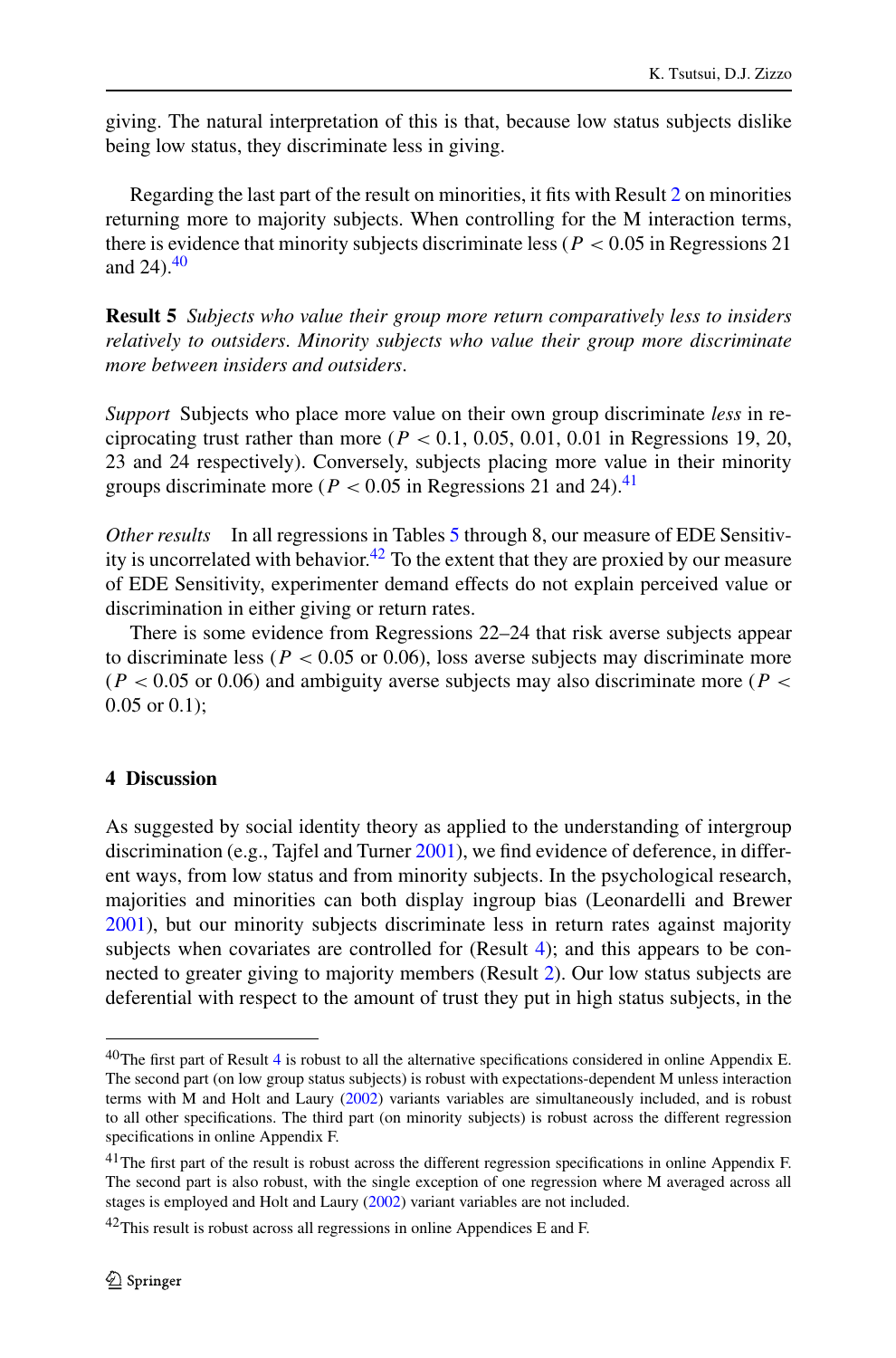<span id="page-23-4"></span>giving. The natural interpretation of this is that, because low status subjects dislike being low status, they discriminate less in giving.

Regarding the last part of the result on minorities, it fits with Result [2](#page-12-4) on minorities returning more to majority subjects. When controlling for the M interaction terms, there is evidence that minority subjects discriminate less (*P <* 0*.*05 in Regressions 21 and  $24$ ).<sup>40</sup>

**Result 5** *Subjects who value their group more return comparatively less to insiders relatively to outsiders*. *Minority subjects who value their group more discriminate more between insiders and outsiders*.

*Support* Subjects who place more value on their own group discriminate *less* in reciprocating trust rather than more ( $P < 0.1$ , 0.05, 0.01, 0.01 in Regressions 19, 20, 23 and 24 respectively). Conversely, subjects placing more value in their minority groups discriminate more ( $P < 0.05$  in Regressions 21 and 24).<sup>41</sup>

*Other results* In all regressions in Tables [5](#page-18-0) through 8, our measure of EDE Sensitiv-ity is uncorrelated with behavior.<sup>[42](#page-23-3)</sup> To the extent that they are proxied by our measure of EDE Sensitivity, experimenter demand effects do not explain perceived value or discrimination in either giving or return rates.

<span id="page-23-0"></span>There is some evidence from Regressions 22–24 that risk averse subjects appear to discriminate less ( $P < 0.05$  or 0.06), loss averse subjects may discriminate more (*P <* 0*.*05 or 0.06) and ambiguity averse subjects may also discriminate more (*P <* 0*.*05 or 0.1);

# **4 Discussion**

<span id="page-23-1"></span>As suggested by social identity theory as applied to the understanding of intergroup discrimination (e.g., Tajfel and Turner [2001\)](#page-29-4), we find evidence of deference, in different ways, from low status and from minority subjects. In the psychological research, majorities and minorities can both display ingroup bias (Leonardelli and Brewer [2001\)](#page-29-24), but our minority subjects discriminate less in return rates against majority subjects when covariates are controlled for (Result [4\)](#page-20-4); and this appears to be connected to greater giving to majority members (Result [2\)](#page-12-4). Our low status subjects are deferential with respect to the amount of trust they put in high status subjects, in the

<span id="page-23-3"></span><span id="page-23-2"></span> $40$  $40$ The first part of Result 4 is robust to all the alternative specifications considered in online Appendix E. The second part (on low group status subjects) is robust with expectations-dependent M unless interaction terms with M and Holt and Laury ([2002](#page-29-20)) variants variables are simultaneously included, and is robust to all other specifications. The third part (on minority subjects) is robust across the different regression specifications in online Appendix F.

<sup>&</sup>lt;sup>41</sup>The first part of the result is robust across the different regression specifications in online Appendix F. The second part is also robust, with the single exception of one regression where M averaged across all stages is employed and Holt and Laury ([2002\)](#page-29-20) variant variables are not included.

 $42$ This result is robust across all regressions in online Appendices E and F.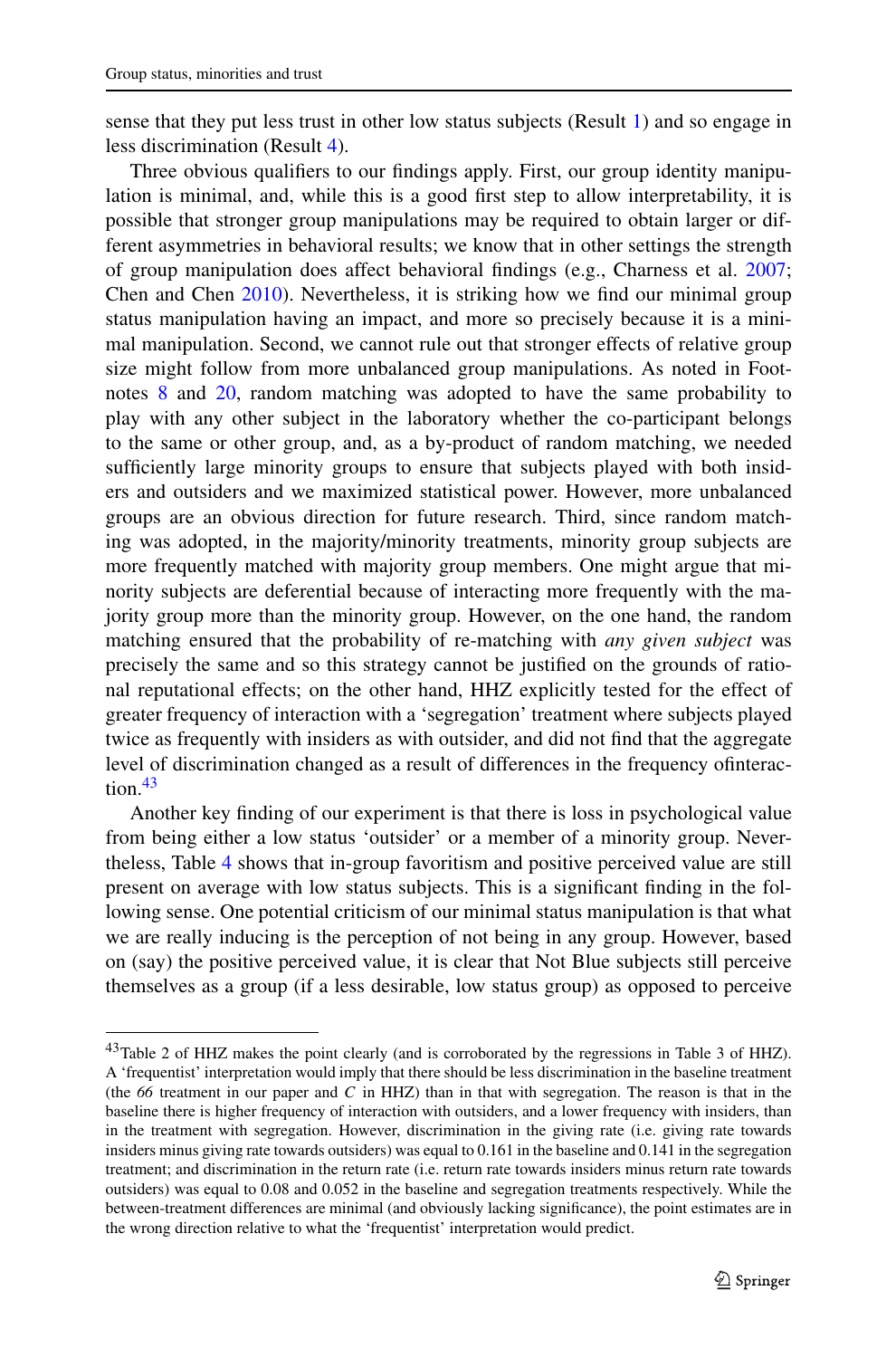sense that they put less trust in other low status subjects (Result [1](#page-12-3)) and so engage in less discrimination (Result [4\)](#page-20-4).

Three obvious qualifiers to our findings apply. First, our group identity manipulation is minimal, and, while this is a good first step to allow interpretability, it is possible that stronger group manipulations may be required to obtain larger or different asymmetries in behavioral results; we know that in other settings the strength of group manipulation does affect behavioral findings (e.g., Charness et al. [2007;](#page-28-0) Chen and Chen [2010](#page-28-5)). Nevertheless, it is striking how we find our minimal group status manipulation having an impact, and more so precisely because it is a minimal manipulation. Second, we cannot rule out that stronger effects of relative group size might follow from more unbalanced group manipulations. As noted in Footnotes [8](#page-3-3) and [20,](#page-9-4) random matching was adopted to have the same probability to play with any other subject in the laboratory whether the co-participant belongs to the same or other group, and, as a by-product of random matching, we needed sufficiently large minority groups to ensure that subjects played with both insiders and outsiders and we maximized statistical power. However, more unbalanced groups are an obvious direction for future research. Third, since random matching was adopted, in the majority/minority treatments, minority group subjects are more frequently matched with majority group members. One might argue that minority subjects are deferential because of interacting more frequently with the majority group more than the minority group. However, on the one hand, the random matching ensured that the probability of re-matching with *any given subject* was precisely the same and so this strategy cannot be justified on the grounds of rational reputational effects; on the other hand, HHZ explicitly tested for the effect of greater frequency of interaction with a 'segregation' treatment where subjects played twice as frequently with insiders as with outsider, and did not find that the aggregate level of discrimination changed as a result of differences in the frequency ofinterac-tion.<sup>[43](#page-24-0)</sup>

<span id="page-24-0"></span>Another key finding of our experiment is that there is loss in psychological value from being either a low status 'outsider' or a member of a minority group. Nevertheless, Table [4](#page-16-0) shows that in-group favoritism and positive perceived value are still present on average with low status subjects. This is a significant finding in the following sense. One potential criticism of our minimal status manipulation is that what we are really inducing is the perception of not being in any group. However, based on (say) the positive perceived value, it is clear that Not Blue subjects still perceive themselves as a group (if a less desirable, low status group) as opposed to perceive

<sup>&</sup>lt;sup>43</sup>Table 2 of HHZ makes the point clearly (and is corroborated by the regressions in Table 3 of HHZ). A 'frequentist' interpretation would imply that there should be less discrimination in the baseline treatment (the *66* treatment in our paper and *C* in HHZ) than in that with segregation. The reason is that in the baseline there is higher frequency of interaction with outsiders, and a lower frequency with insiders, than in the treatment with segregation. However, discrimination in the giving rate (i.e. giving rate towards insiders minus giving rate towards outsiders) was equal to 0.161 in the baseline and 0.141 in the segregation treatment; and discrimination in the return rate (i.e. return rate towards insiders minus return rate towards outsiders) was equal to 0.08 and 0.052 in the baseline and segregation treatments respectively. While the between-treatment differences are minimal (and obviously lacking significance), the point estimates are in the wrong direction relative to what the 'frequentist' interpretation would predict.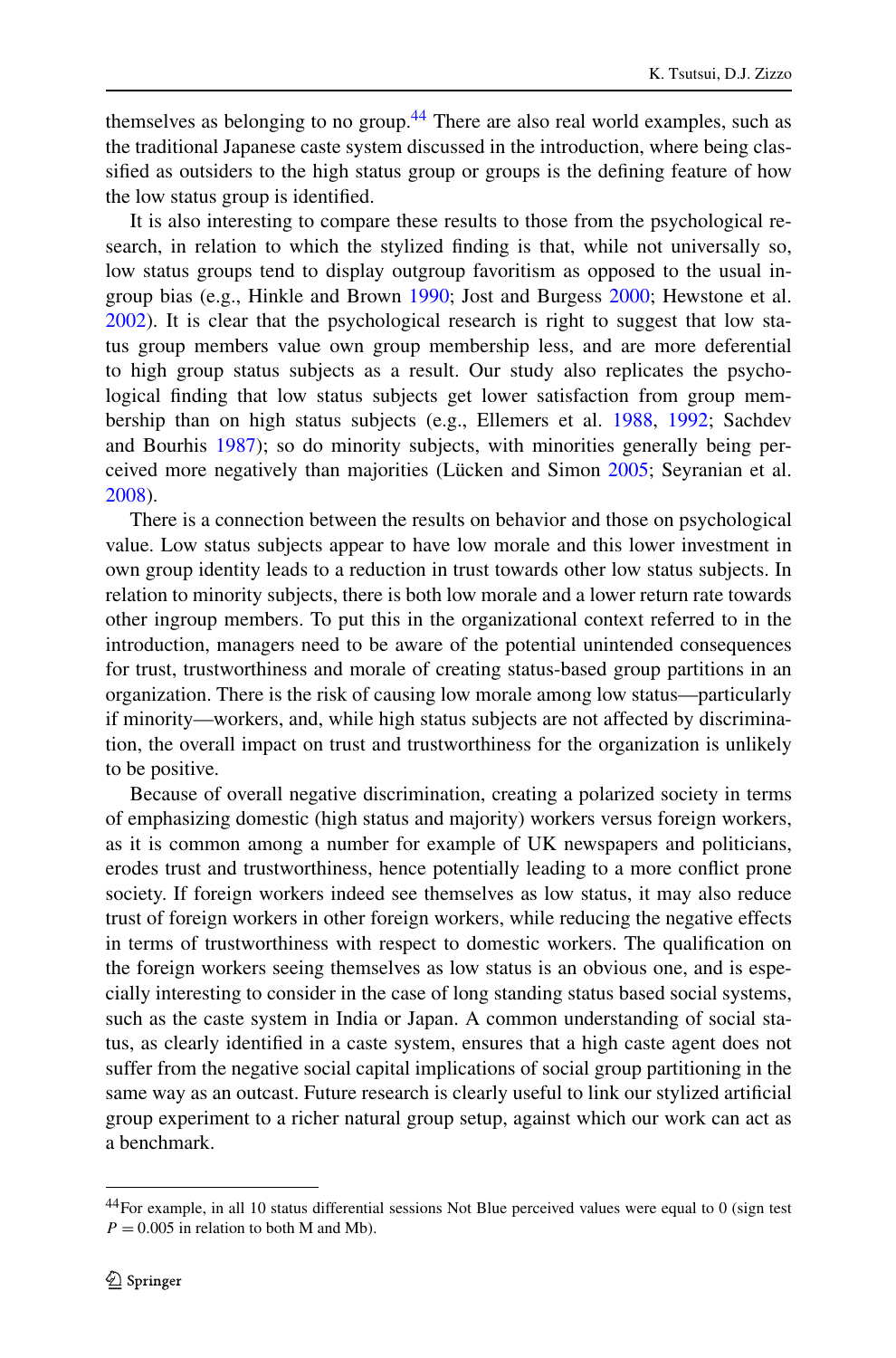themselves as belonging to no group.<sup>[44](#page-25-0)</sup> There are also real world examples, such as the traditional Japanese caste system discussed in the introduction, where being classified as outsiders to the high status group or groups is the defining feature of how the low status group is identified.

It is also interesting to compare these results to those from the psychological research, in relation to which the stylized finding is that, while not universally so, low status groups tend to display outgroup favoritism as opposed to the usual ingroup bias (e.g., Hinkle and Brown [1990](#page-29-25); Jost and Burgess [2000;](#page-29-12) Hewstone et al. [2002\)](#page-28-25). It is clear that the psychological research is right to suggest that low status group members value own group membership less, and are more deferential to high group status subjects as a result. Our study also replicates the psychological finding that low status subjects get lower satisfaction from group membership than on high status subjects (e.g., Ellemers et al. [1988](#page-28-26), [1992;](#page-28-15) Sachdev and Bourhis [1987\)](#page-29-26); so do minority subjects, with minorities generally being perceived more negatively than majorities (Lücken and Simon [2005](#page-29-13); Seyranian et al. [2008\)](#page-29-27).

There is a connection between the results on behavior and those on psychological value. Low status subjects appear to have low morale and this lower investment in own group identity leads to a reduction in trust towards other low status subjects. In relation to minority subjects, there is both low morale and a lower return rate towards other ingroup members. To put this in the organizational context referred to in the introduction, managers need to be aware of the potential unintended consequences for trust, trustworthiness and morale of creating status-based group partitions in an organization. There is the risk of causing low morale among low status—particularly if minority—workers, and, while high status subjects are not affected by discrimination, the overall impact on trust and trustworthiness for the organization is unlikely to be positive.

Because of overall negative discrimination, creating a polarized society in terms of emphasizing domestic (high status and majority) workers versus foreign workers, as it is common among a number for example of UK newspapers and politicians, erodes trust and trustworthiness, hence potentially leading to a more conflict prone society. If foreign workers indeed see themselves as low status, it may also reduce trust of foreign workers in other foreign workers, while reducing the negative effects in terms of trustworthiness with respect to domestic workers. The qualification on the foreign workers seeing themselves as low status is an obvious one, and is especially interesting to consider in the case of long standing status based social systems, such as the caste system in India or Japan. A common understanding of social status, as clearly identified in a caste system, ensures that a high caste agent does not suffer from the negative social capital implications of social group partitioning in the same way as an outcast. Future research is clearly useful to link our stylized artificial group experiment to a richer natural group setup, against which our work can act as a benchmark.

<span id="page-25-0"></span><sup>&</sup>lt;sup>44</sup>For example, in all 10 status differential sessions Not Blue perceived values were equal to 0 (sign test  $P = 0.005$  in relation to both M and Mb).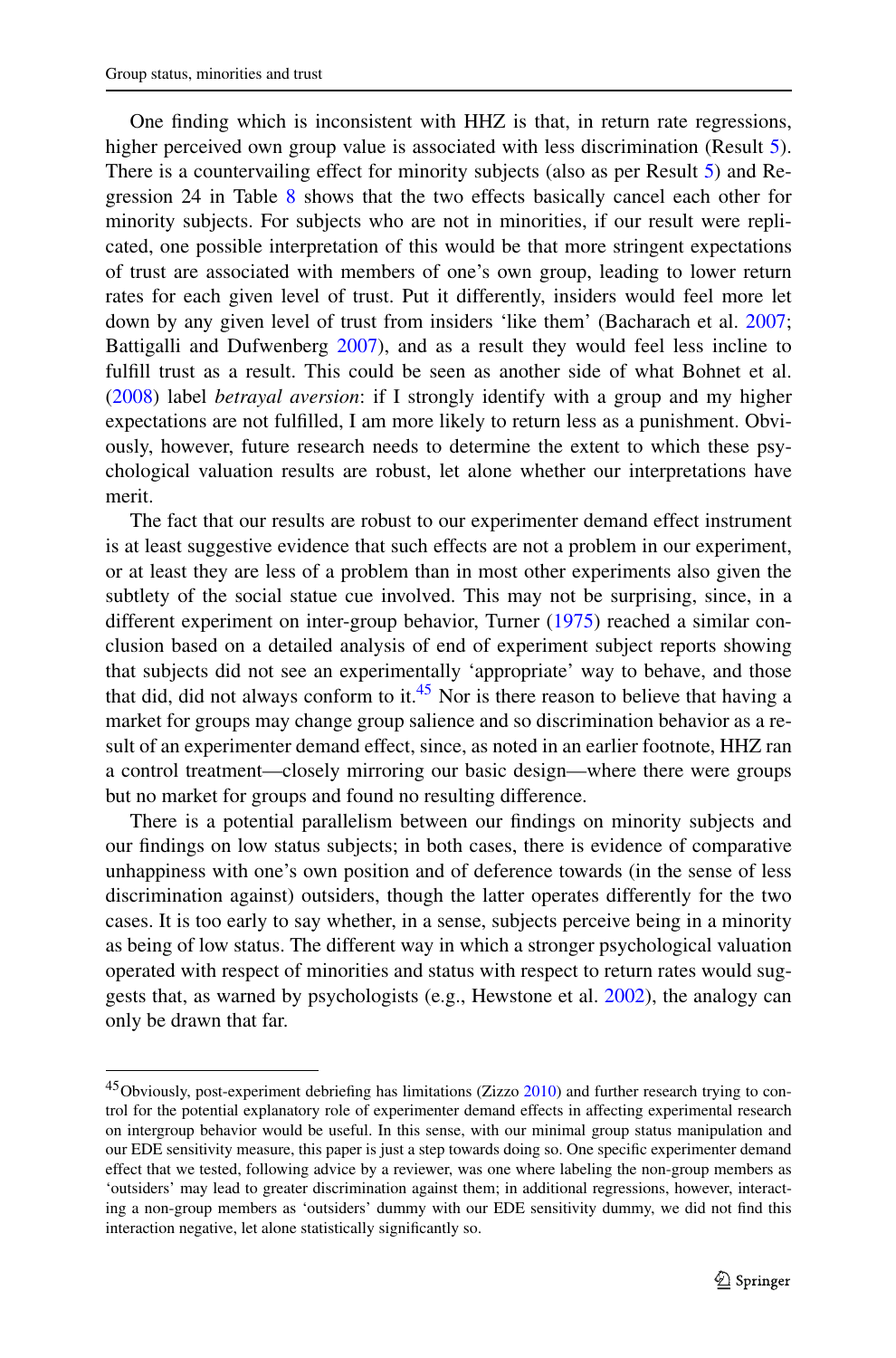One finding which is inconsistent with HHZ is that, in return rate regressions, higher perceived own group value is associated with less discrimination (Result [5\)](#page-23-4). There is a countervailing effect for minority subjects (also as per Result [5](#page-23-4)) and Regression 24 in Table [8](#page-22-0) shows that the two effects basically cancel each other for minority subjects. For subjects who are not in minorities, if our result were replicated, one possible interpretation of this would be that more stringent expectations of trust are associated with members of one's own group, leading to lower return rates for each given level of trust. Put it differently, insiders would feel more let down by any given level of trust from insiders 'like them' (Bacharach et al. [2007;](#page-27-10) Battigalli and Dufwenberg [2007](#page-27-11)), and as a result they would feel less incline to fulfill trust as a result. This could be seen as another side of what Bohnet et al. [\(2008](#page-28-27)) label *betrayal aversion*: if I strongly identify with a group and my higher expectations are not fulfilled, I am more likely to return less as a punishment. Obviously, however, future research needs to determine the extent to which these psychological valuation results are robust, let alone whether our interpretations have merit.

The fact that our results are robust to our experimenter demand effect instrument is at least suggestive evidence that such effects are not a problem in our experiment, or at least they are less of a problem than in most other experiments also given the subtlety of the social statue cue involved. This may not be surprising, since, in a different experiment on inter-group behavior, Turner [\(1975](#page-29-9)) reached a similar conclusion based on a detailed analysis of end of experiment subject reports showing that subjects did not see an experimentally 'appropriate' way to behave, and those that did, did not always conform to it.<sup>[45](#page-26-0)</sup> Nor is there reason to believe that having a market for groups may change group salience and so discrimination behavior as a result of an experimenter demand effect, since, as noted in an earlier footnote, HHZ ran a control treatment—closely mirroring our basic design—where there were groups but no market for groups and found no resulting difference.

<span id="page-26-0"></span>There is a potential parallelism between our findings on minority subjects and our findings on low status subjects; in both cases, there is evidence of comparative unhappiness with one's own position and of deference towards (in the sense of less discrimination against) outsiders, though the latter operates differently for the two cases. It is too early to say whether, in a sense, subjects perceive being in a minority as being of low status. The different way in which a stronger psychological valuation operated with respect of minorities and status with respect to return rates would suggests that, as warned by psychologists (e.g., Hewstone et al. [2002\)](#page-28-25), the analogy can only be drawn that far.

<sup>&</sup>lt;sup>45</sup>Obviously, post-experiment debriefing has limitations (Zizzo [2010\)](#page-29-21) and further research trying to control for the potential explanatory role of experimenter demand effects in affecting experimental research on intergroup behavior would be useful. In this sense, with our minimal group status manipulation and our EDE sensitivity measure, this paper is just a step towards doing so. One specific experimenter demand effect that we tested, following advice by a reviewer, was one where labeling the non-group members as 'outsiders' may lead to greater discrimination against them; in additional regressions, however, interacting a non-group members as 'outsiders' dummy with our EDE sensitivity dummy, we did not find this interaction negative, let alone statistically significantly so.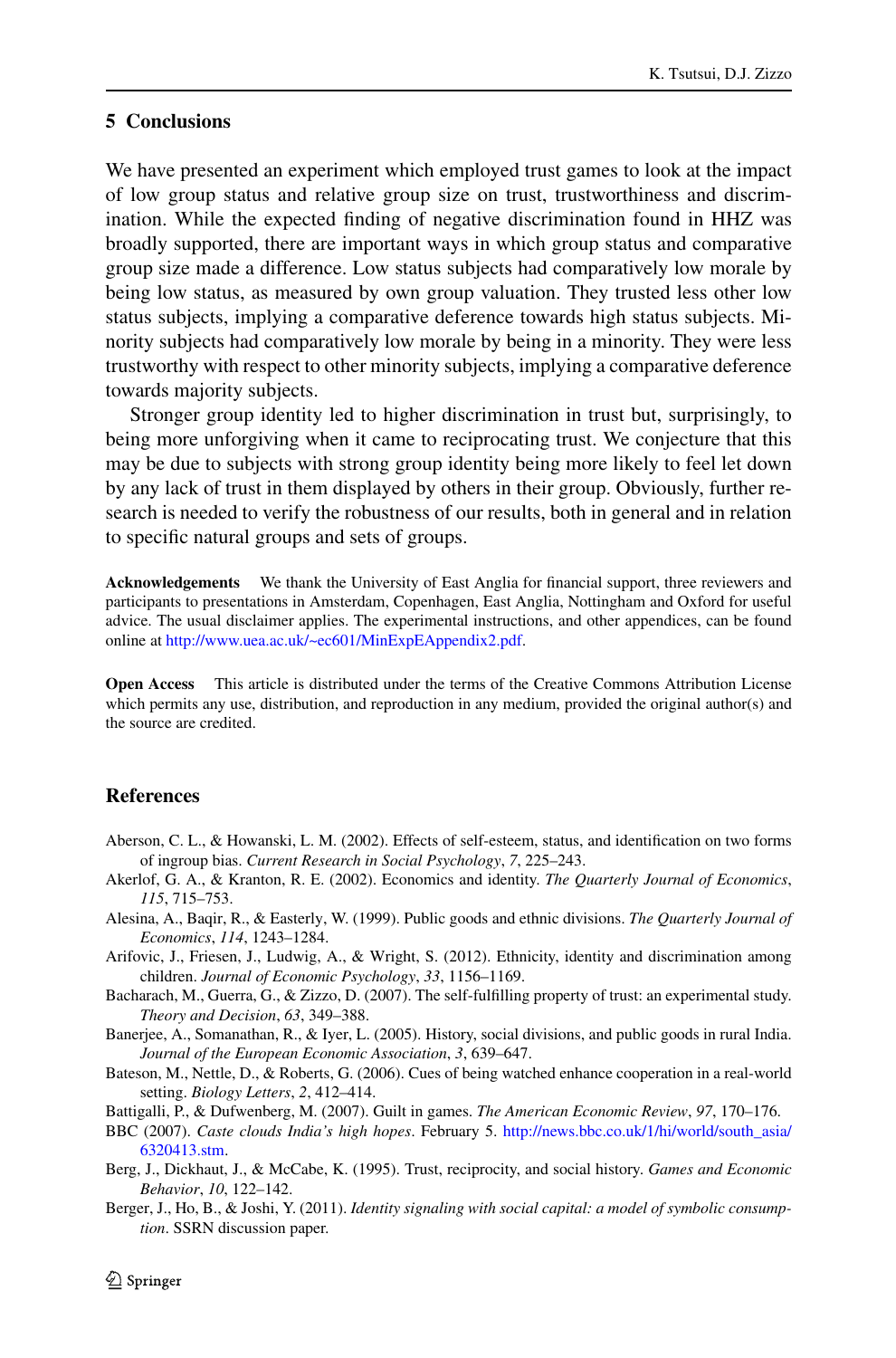# <span id="page-27-7"></span>**5 Conclusions**

We have presented an experiment which employed trust games to look at the impact of low group status and relative group size on trust, trustworthiness and discrimination. While the expected finding of negative discrimination found in HHZ was broadly supported, there are important ways in which group status and comparative group size made a difference. Low status subjects had comparatively low morale by being low status, as measured by own group valuation. They trusted less other low status subjects, implying a comparative deference towards high status subjects. Minority subjects had comparatively low morale by being in a minority. They were less trustworthy with respect to other minority subjects, implying a comparative deference towards majority subjects.

Stronger group identity led to higher discrimination in trust but, surprisingly, to being more unforgiving when it came to reciprocating trust. We conjecture that this may be due to subjects with strong group identity being more likely to feel let down by any lack of trust in them displayed by others in their group. Obviously, further research is needed to verify the robustness of our results, both in general and in relation to specific natural groups and sets of groups.

**Acknowledgements** We thank the University of East Anglia for financial support, three reviewers and participants to presentations in Amsterdam, Copenhagen, East Anglia, Nottingham and Oxford for useful advice. The usual disclaimer applies. The experimental instructions, and other appendices, can be found online at <http://www.uea.ac.uk/~ec601/MinExpEAppendix2.pdf>.

<span id="page-27-5"></span><span id="page-27-2"></span><span id="page-27-0"></span>**Open Access** This article is distributed under the terms of the Creative Commons Attribution License which permits any use, distribution, and reproduction in any medium, provided the original author(s) and the source are credited.

# <span id="page-27-10"></span><span id="page-27-6"></span>**References**

- <span id="page-27-3"></span>Aberson, C. L., & Howanski, L. M. (2002). Effects of self-esteem, status, and identification on two forms of ingroup bias. *Current Research in Social Psychology*, *7*, 225–243.
- <span id="page-27-9"></span>Akerlof, G. A., & Kranton, R. E. (2002). Economics and identity. *The Quarterly Journal of Economics*, *115*, 715–753.
- <span id="page-27-11"></span>Alesina, A., Baqir, R., & Easterly, W. (1999). Public goods and ethnic divisions. *The Quarterly Journal of Economics*, *114*, 1243–1284.
- <span id="page-27-1"></span>Arifovic, J., Friesen, J., Ludwig, A., & Wright, S. (2012). Ethnicity, identity and discrimination among children. *Journal of Economic Psychology*, *33*, 1156–1169.
- <span id="page-27-8"></span>Bacharach, M., Guerra, G., & Zizzo, D. (2007). The self-fulfilling property of trust: an experimental study. *Theory and Decision*, *63*, 349–388.
- <span id="page-27-4"></span>Banerjee, A., Somanathan, R., & Iyer, L. (2005). History, social divisions, and public goods in rural India. *Journal of the European Economic Association*, *3*, 639–647.
- Bateson, M., Nettle, D., & Roberts, G. (2006). Cues of being watched enhance cooperation in a real-world setting. *Biology Letters*, *2*, 412–414.
- Battigalli, P., & Dufwenberg, M. (2007). Guilt in games. *The American Economic Review*, *97*, 170–176.
- BBC (2007). *Caste clouds India's high hopes*. February 5. [http://news.bbc.co.uk/1/hi/world/south\\_asia/](http://news.bbc.co.uk/1/hi/world/south_asia/6320413.stm) [6320413.stm](http://news.bbc.co.uk/1/hi/world/south_asia/6320413.stm).
- Berg, J., Dickhaut, J., & McCabe, K. (1995). Trust, reciprocity, and social history. *Games and Economic Behavior*, *10*, 122–142.
- Berger, J., Ho, B., & Joshi, Y. (2011). *Identity signaling with social capital: a model of symbolic consumption*. SSRN discussion paper.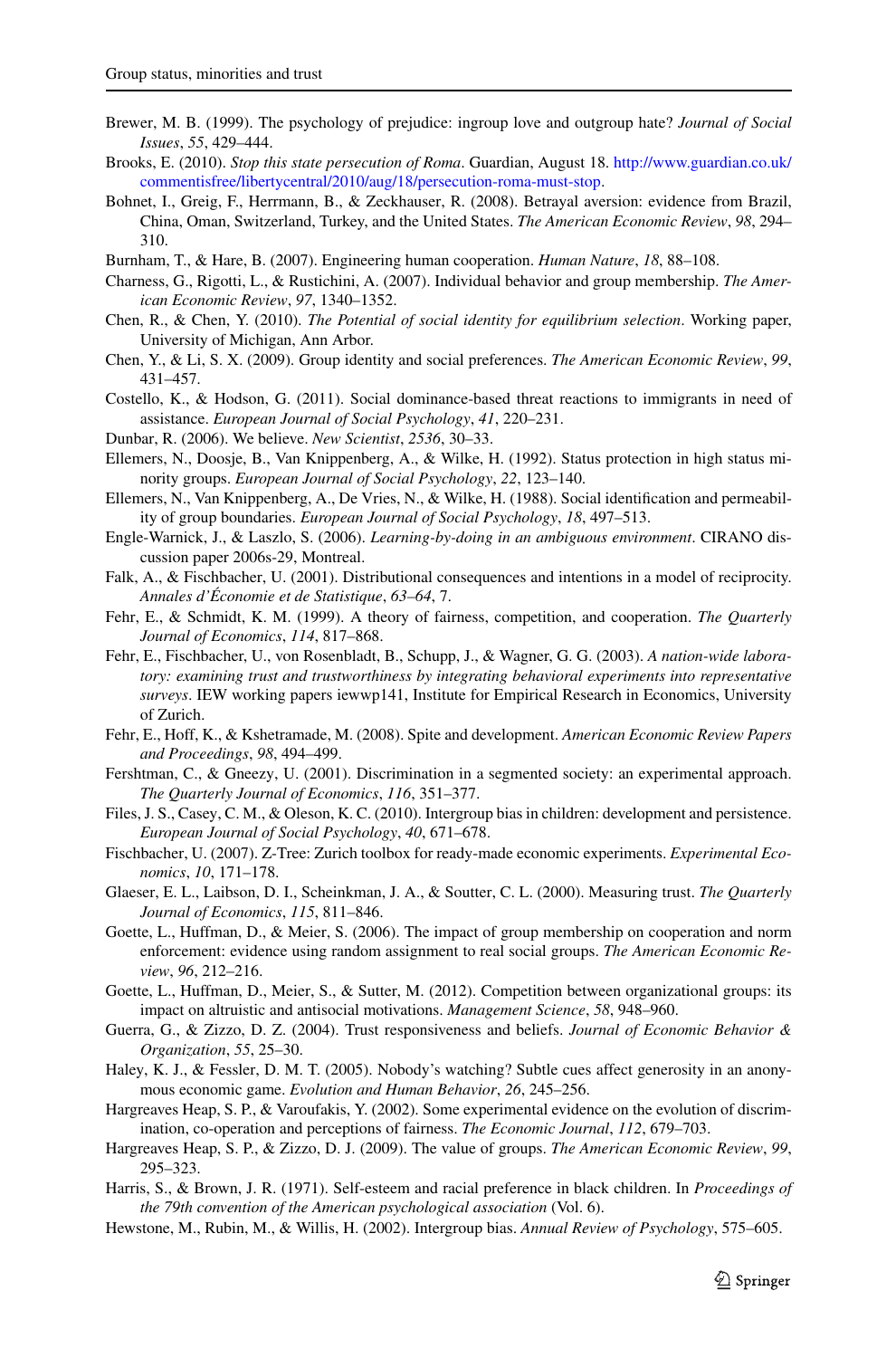- <span id="page-28-27"></span><span id="page-28-20"></span><span id="page-28-14"></span><span id="page-28-9"></span><span id="page-28-5"></span><span id="page-28-0"></span>Brewer, M. B. (1999). The psychology of prejudice: ingroup love and outgroup hate? *Journal of Social Issues*, *55*, 429–444.
- <span id="page-28-3"></span>Brooks, E. (2010). *Stop this state persecution of Roma*. Guardian, August 18. [http://www.guardian.co.uk/](http://www.guardian.co.uk/commentisfree/libertycentral/2010/aug/18/persecution-roma-must-stop) [commentisfree/libertycentral/2010/aug/18/persecution-roma-must-stop.](http://www.guardian.co.uk/commentisfree/libertycentral/2010/aug/18/persecution-roma-must-stop)
- <span id="page-28-8"></span>Bohnet, I., Greig, F., Herrmann, B., & Zeckhauser, R. (2008). Betrayal aversion: evidence from Brazil, China, Oman, Switzerland, Turkey, and the United States. *The American Economic Review*, *98*, 294– 310.
- <span id="page-28-7"></span>Burnham, T., & Hare, B. (2007). Engineering human cooperation. *Human Nature*, *18*, 88–108.
- <span id="page-28-15"></span>Charness, G., Rigotti, L., & Rustichini, A. (2007). Individual behavior and group membership. *The American Economic Review*, *97*, 1340–1352.
- <span id="page-28-26"></span>Chen, R., & Chen, Y. (2010). *The Potential of social identity for equilibrium selection*. Working paper, University of Michigan, Ann Arbor.
- <span id="page-28-19"></span>Chen, Y., & Li, S. X. (2009). Group identity and social preferences. *The American Economic Review*, *99*, 431–457.
- <span id="page-28-23"></span>Costello, K., & Hodson, G. (2011). Social dominance-based threat reactions to immigrants in need of assistance. *European Journal of Social Psychology*, *41*, 220–231.
- <span id="page-28-22"></span>Dunbar, R. (2006). We believe. *New Scientist*, *2536*, 30–33.
- <span id="page-28-17"></span>Ellemers, N., Doosje, B., Van Knippenberg, A., & Wilke, H. (1992). Status protection in high status minority groups. *European Journal of Social Psychology*, *22*, 123–140.
- Ellemers, N., Van Knippenberg, A., De Vries, N., & Wilke, H. (1988). Social identification and permeability of group boundaries. *European Journal of Social Psychology*, *18*, 497–513.
- <span id="page-28-12"></span>Engle-Warnick, J., & Laszlo, S. (2006). *Learning-by-doing in an ambiguous environment*. CIRANO discussion paper 2006s-29, Montreal.
- <span id="page-28-11"></span>Falk, A., & Fischbacher, U. (2001). Distributional consequences and intentions in a model of reciprocity. *Annales d'Économie et de Statistique*, *63–64*, 7.
- <span id="page-28-6"></span>Fehr, E., & Schmidt, K. M. (1999). A theory of fairness, competition, and cooperation. *The Quarterly Journal of Economics*, *114*, 817–868.
- <span id="page-28-18"></span>Fehr, E., Fischbacher, U., von Rosenbladt, B., Schupp, J., & Wagner, G. G. (2003). *A nation-wide laboratory: examining trust and trustworthiness by integrating behavioral experiments into representative surveys*. IEW working papers iewwp141, Institute for Empirical Research in Economics, University of Zurich.
- <span id="page-28-16"></span><span id="page-28-1"></span>Fehr, E., Hoff, K., & Kshetramade, M. (2008). Spite and development. *American Economic Review Papers and Proceedings*, *98*, 494–499.
- Fershtman, C., & Gneezy, U. (2001). Discrimination in a segmented society: an experimental approach. *The Quarterly Journal of Economics*, *116*, 351–377.
- <span id="page-28-13"></span>Files, J. S., Casey, C. M., & Oleson, K. C. (2010). Intergroup bias in children: development and persistence. *European Journal of Social Psychology*, *40*, 671–678.
- <span id="page-28-24"></span>Fischbacher, U. (2007). Z-Tree: Zurich toolbox for ready-made economic experiments. *Experimental Economics*, *10*, 171–178.
- <span id="page-28-21"></span>Glaeser, E. L., Laibson, D. I., Scheinkman, J. A., & Soutter, C. L. (2000). Measuring trust. *The Quarterly Journal of Economics*, *115*, 811–846.
- <span id="page-28-4"></span><span id="page-28-2"></span>Goette, L., Huffman, D., & Meier, S. (2006). The impact of group membership on cooperation and norm enforcement: evidence using random assignment to real social groups. *The American Economic Review*, *96*, 212–216.
- <span id="page-28-10"></span>Goette, L., Huffman, D., Meier, S., & Sutter, M. (2012). Competition between organizational groups: its impact on altruistic and antisocial motivations. *Management Science*, *58*, 948–960.
- <span id="page-28-25"></span>Guerra, G., & Zizzo, D. Z. (2004). Trust responsiveness and beliefs. *Journal of Economic Behavior & Organization*, *55*, 25–30.
- Haley, K. J., & Fessler, D. M. T. (2005). Nobody's watching? Subtle cues affect generosity in an anonymous economic game. *Evolution and Human Behavior*, *26*, 245–256.
- Hargreaves Heap, S. P., & Varoufakis, Y. (2002). Some experimental evidence on the evolution of discrimination, co-operation and perceptions of fairness. *The Economic Journal*, *112*, 679–703.
- Hargreaves Heap, S. P., & Zizzo, D. J. (2009). The value of groups. *The American Economic Review*, *99*, 295–323.
- Harris, S., & Brown, J. R. (1971). Self-esteem and racial preference in black children. In *Proceedings of the 79th convention of the American psychological association* (Vol. 6).
- Hewstone, M., Rubin, M., & Willis, H. (2002). Intergroup bias. *Annual Review of Psychology*, 575–605.